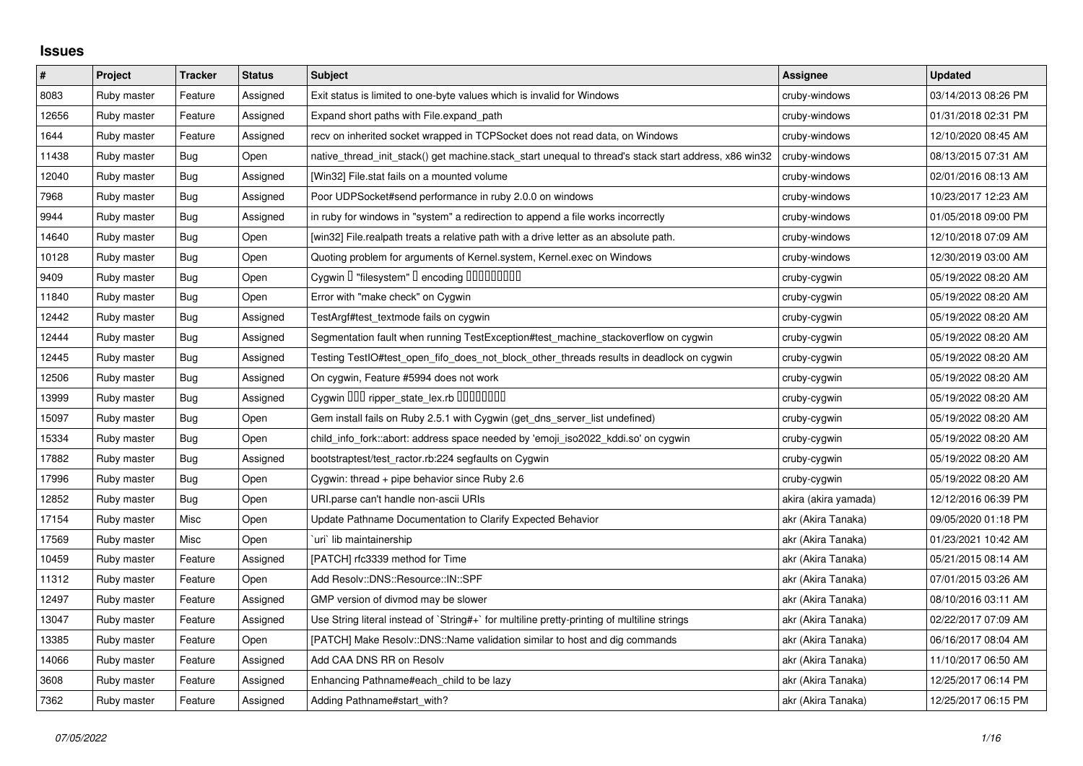## **Issues**

| $\pmb{\#}$ | Project     | <b>Tracker</b> | <b>Status</b> | <b>Subject</b>                                                                                        | <b>Assignee</b>      | <b>Updated</b>      |
|------------|-------------|----------------|---------------|-------------------------------------------------------------------------------------------------------|----------------------|---------------------|
| 8083       | Ruby master | Feature        | Assigned      | Exit status is limited to one-byte values which is invalid for Windows                                | cruby-windows        | 03/14/2013 08:26 PM |
| 12656      | Ruby master | Feature        | Assigned      | Expand short paths with File.expand_path                                                              | cruby-windows        | 01/31/2018 02:31 PM |
| 1644       | Ruby master | Feature        | Assigned      | recv on inherited socket wrapped in TCPSocket does not read data, on Windows                          | cruby-windows        | 12/10/2020 08:45 AM |
| 11438      | Ruby master | Bug            | Open          | native thread init stack() get machine.stack start unequal to thread's stack start address, x86 win32 | cruby-windows        | 08/13/2015 07:31 AM |
| 12040      | Ruby master | Bug            | Assigned      | [Win32] File.stat fails on a mounted volume                                                           | cruby-windows        | 02/01/2016 08:13 AM |
| 7968       | Ruby master | Bug            | Assigned      | Poor UDPSocket#send performance in ruby 2.0.0 on windows                                              | cruby-windows        | 10/23/2017 12:23 AM |
| 9944       | Ruby master | Bug            | Assigned      | in ruby for windows in "system" a redirection to append a file works incorrectly                      | cruby-windows        | 01/05/2018 09:00 PM |
| 14640      | Ruby master | Bug            | Open          | [win32] File.realpath treats a relative path with a drive letter as an absolute path.                 | cruby-windows        | 12/10/2018 07:09 AM |
| 10128      | Ruby master | <b>Bug</b>     | Open          | Quoting problem for arguments of Kernel.system, Kernel.exec on Windows                                | cruby-windows        | 12/30/2019 03:00 AM |
| 9409       | Ruby master | Bug            | Open          | Cygwin I "filesystem" I encoding IIIIIIIIIIIII                                                        | cruby-cygwin         | 05/19/2022 08:20 AM |
| 11840      | Ruby master | Bug            | Open          | Error with "make check" on Cygwin                                                                     | cruby-cygwin         | 05/19/2022 08:20 AM |
| 12442      | Ruby master | <b>Bug</b>     | Assigned      | TestArgf#test_textmode fails on cygwin                                                                | cruby-cygwin         | 05/19/2022 08:20 AM |
| 12444      | Ruby master | <b>Bug</b>     | Assigned      | Segmentation fault when running TestException#test_machine_stackoverflow on cygwin                    | cruby-cygwin         | 05/19/2022 08:20 AM |
| 12445      | Ruby master | Bug            | Assigned      | Testing TestIO#test_open_fifo_does_not_block_other_threads results in deadlock on cygwin              | cruby-cygwin         | 05/19/2022 08:20 AM |
| 12506      | Ruby master | Bug            | Assigned      | On cygwin, Feature #5994 does not work                                                                | cruby-cygwin         | 05/19/2022 08:20 AM |
| 13999      | Ruby master | Bug            | Assigned      | Cygwin 000 ripper_state_lex.rb 00000000                                                               | cruby-cygwin         | 05/19/2022 08:20 AM |
| 15097      | Ruby master | Bug            | Open          | Gem install fails on Ruby 2.5.1 with Cygwin (get_dns_server_list undefined)                           | cruby-cygwin         | 05/19/2022 08:20 AM |
| 15334      | Ruby master | Bug            | Open          | child_info_fork::abort: address space needed by 'emoji_iso2022_kddi.so' on cygwin                     | cruby-cygwin         | 05/19/2022 08:20 AM |
| 17882      | Ruby master | Bug            | Assigned      | bootstraptest/test_ractor.rb:224 segfaults on Cygwin                                                  | cruby-cygwin         | 05/19/2022 08:20 AM |
| 17996      | Ruby master | Bug            | Open          | Cygwin: thread + pipe behavior since Ruby 2.6                                                         | cruby-cygwin         | 05/19/2022 08:20 AM |
| 12852      | Ruby master | Bug            | Open          | URI.parse can't handle non-ascii URIs                                                                 | akira (akira yamada) | 12/12/2016 06:39 PM |
| 17154      | Ruby master | Misc           | Open          | Update Pathname Documentation to Clarify Expected Behavior                                            | akr (Akira Tanaka)   | 09/05/2020 01:18 PM |
| 17569      | Ruby master | Misc           | Open          | `uri` lib maintainership                                                                              | akr (Akira Tanaka)   | 01/23/2021 10:42 AM |
| 10459      | Ruby master | Feature        | Assigned      | [PATCH] rfc3339 method for Time                                                                       | akr (Akira Tanaka)   | 05/21/2015 08:14 AM |
| 11312      | Ruby master | Feature        | Open          | Add Resolv::DNS::Resource::IN::SPF                                                                    | akr (Akira Tanaka)   | 07/01/2015 03:26 AM |
| 12497      | Ruby master | Feature        | Assigned      | GMP version of divmod may be slower                                                                   | akr (Akira Tanaka)   | 08/10/2016 03:11 AM |
| 13047      | Ruby master | Feature        | Assigned      | Use String literal instead of `String#+` for multiline pretty-printing of multiline strings           | akr (Akira Tanaka)   | 02/22/2017 07:09 AM |
| 13385      | Ruby master | Feature        | Open          | [PATCH] Make Resolv::DNS::Name validation similar to host and dig commands                            | akr (Akira Tanaka)   | 06/16/2017 08:04 AM |
| 14066      | Ruby master | Feature        | Assigned      | Add CAA DNS RR on Resolv                                                                              | akr (Akira Tanaka)   | 11/10/2017 06:50 AM |
| 3608       | Ruby master | Feature        | Assigned      | Enhancing Pathname#each child to be lazy                                                              | akr (Akira Tanaka)   | 12/25/2017 06:14 PM |
| 7362       | Ruby master | Feature        | Assigned      | Adding Pathname#start with?                                                                           | akr (Akira Tanaka)   | 12/25/2017 06:15 PM |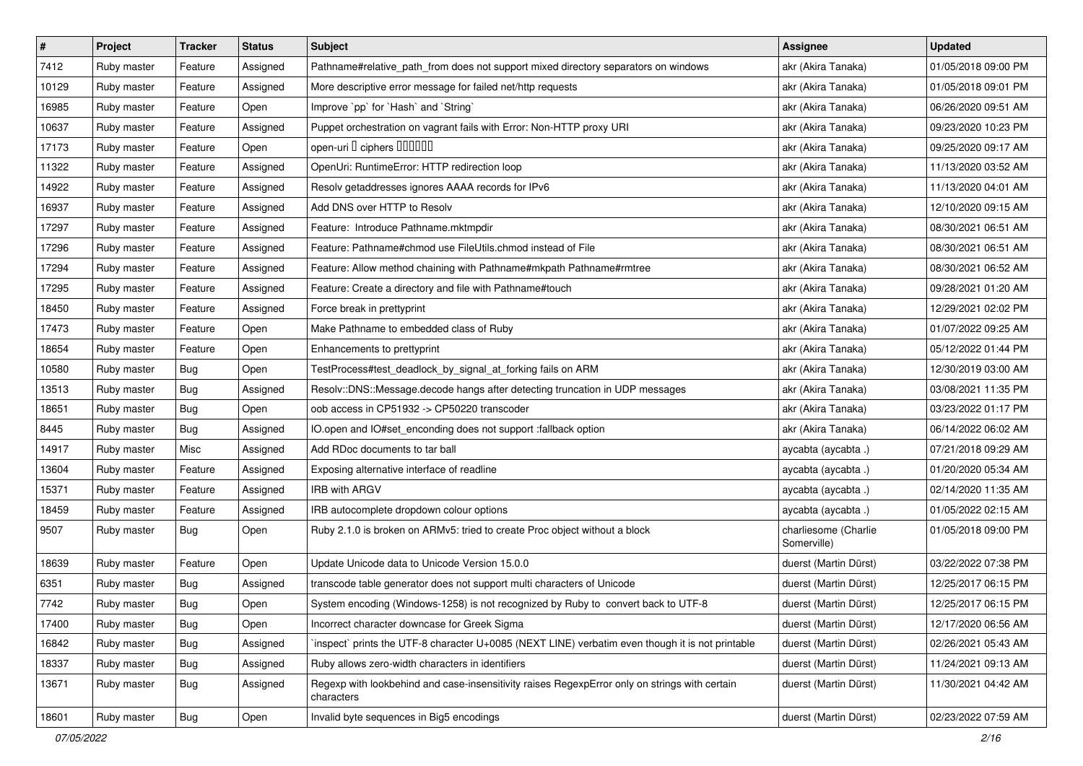| $\pmb{\#}$ | Project     | <b>Tracker</b> | <b>Status</b> | <b>Subject</b>                                                                                              | <b>Assignee</b>                     | <b>Updated</b>      |
|------------|-------------|----------------|---------------|-------------------------------------------------------------------------------------------------------------|-------------------------------------|---------------------|
| 7412       | Ruby master | Feature        | Assigned      | Pathname#relative_path_from does not support mixed directory separators on windows                          | akr (Akira Tanaka)                  | 01/05/2018 09:00 PM |
| 10129      | Ruby master | Feature        | Assigned      | More descriptive error message for failed net/http requests                                                 | akr (Akira Tanaka)                  | 01/05/2018 09:01 PM |
| 16985      | Ruby master | Feature        | Open          | Improve `pp` for `Hash` and `String`                                                                        | akr (Akira Tanaka)                  | 06/26/2020 09:51 AM |
| 10637      | Ruby master | Feature        | Assigned      | Puppet orchestration on vagrant fails with Error: Non-HTTP proxy URI                                        | akr (Akira Tanaka)                  | 09/23/2020 10:23 PM |
| 17173      | Ruby master | Feature        | Open          | open-uri I ciphers IIIIIII                                                                                  | akr (Akira Tanaka)                  | 09/25/2020 09:17 AM |
| 11322      | Ruby master | Feature        | Assigned      | OpenUri: RuntimeError: HTTP redirection loop                                                                | akr (Akira Tanaka)                  | 11/13/2020 03:52 AM |
| 14922      | Ruby master | Feature        | Assigned      | Resolv getaddresses ignores AAAA records for IPv6                                                           | akr (Akira Tanaka)                  | 11/13/2020 04:01 AM |
| 16937      | Ruby master | Feature        | Assigned      | Add DNS over HTTP to Resolv                                                                                 | akr (Akira Tanaka)                  | 12/10/2020 09:15 AM |
| 17297      | Ruby master | Feature        | Assigned      | Feature: Introduce Pathname.mktmpdir                                                                        | akr (Akira Tanaka)                  | 08/30/2021 06:51 AM |
| 17296      | Ruby master | Feature        | Assigned      | Feature: Pathname#chmod use FileUtils.chmod instead of File                                                 | akr (Akira Tanaka)                  | 08/30/2021 06:51 AM |
| 17294      | Ruby master | Feature        | Assigned      | Feature: Allow method chaining with Pathname#mkpath Pathname#rmtree                                         | akr (Akira Tanaka)                  | 08/30/2021 06:52 AM |
| 17295      | Ruby master | Feature        | Assigned      | Feature: Create a directory and file with Pathname#touch                                                    | akr (Akira Tanaka)                  | 09/28/2021 01:20 AM |
| 18450      | Ruby master | Feature        | Assigned      | Force break in prettyprint                                                                                  | akr (Akira Tanaka)                  | 12/29/2021 02:02 PM |
| 17473      | Ruby master | Feature        | Open          | Make Pathname to embedded class of Ruby                                                                     | akr (Akira Tanaka)                  | 01/07/2022 09:25 AM |
| 18654      | Ruby master | Feature        | Open          | Enhancements to prettyprint                                                                                 | akr (Akira Tanaka)                  | 05/12/2022 01:44 PM |
| 10580      | Ruby master | Bug            | Open          | TestProcess#test_deadlock_by_signal_at_forking fails on ARM                                                 | akr (Akira Tanaka)                  | 12/30/2019 03:00 AM |
| 13513      | Ruby master | Bug            | Assigned      | Resolv::DNS::Message.decode hangs after detecting truncation in UDP messages                                | akr (Akira Tanaka)                  | 03/08/2021 11:35 PM |
| 18651      | Ruby master | <b>Bug</b>     | Open          | oob access in CP51932 -> CP50220 transcoder                                                                 | akr (Akira Tanaka)                  | 03/23/2022 01:17 PM |
| 8445       | Ruby master | <b>Bug</b>     | Assigned      | IO.open and IO#set_enconding does not support :fallback option                                              | akr (Akira Tanaka)                  | 06/14/2022 06:02 AM |
| 14917      | Ruby master | Misc           | Assigned      | Add RDoc documents to tar ball                                                                              | aycabta (aycabta.)                  | 07/21/2018 09:29 AM |
| 13604      | Ruby master | Feature        | Assigned      | Exposing alternative interface of readline                                                                  | aycabta (aycabta.)                  | 01/20/2020 05:34 AM |
| 15371      | Ruby master | Feature        | Assigned      | <b>IRB with ARGV</b>                                                                                        | aycabta (aycabta.)                  | 02/14/2020 11:35 AM |
| 18459      | Ruby master | Feature        | Assigned      | IRB autocomplete dropdown colour options                                                                    | aycabta (aycabta.)                  | 01/05/2022 02:15 AM |
| 9507       | Ruby master | Bug            | Open          | Ruby 2.1.0 is broken on ARMv5: tried to create Proc object without a block                                  | charliesome (Charlie<br>Somerville) | 01/05/2018 09:00 PM |
| 18639      | Ruby master | Feature        | Open          | Update Unicode data to Unicode Version 15.0.0                                                               | duerst (Martin Dürst)               | 03/22/2022 07:38 PM |
| 6351       | Ruby master | <b>Bug</b>     | Assigned      | transcode table generator does not support multi characters of Unicode                                      | duerst (Martin Dürst)               | 12/25/2017 06:15 PM |
| 7742       | Ruby master | <b>Bug</b>     | Open          | System encoding (Windows-1258) is not recognized by Ruby to convert back to UTF-8                           | duerst (Martin Dürst)               | 12/25/2017 06:15 PM |
| 17400      | Ruby master | Bug            | Open          | Incorrect character downcase for Greek Sigma                                                                | duerst (Martin Dürst)               | 12/17/2020 06:56 AM |
| 16842      | Ruby master | Bug            | Assigned      | 'inspect' prints the UTF-8 character U+0085 (NEXT LINE) verbatim even though it is not printable            | duerst (Martin Dürst)               | 02/26/2021 05:43 AM |
| 18337      | Ruby master | Bug            | Assigned      | Ruby allows zero-width characters in identifiers                                                            | duerst (Martin Dürst)               | 11/24/2021 09:13 AM |
| 13671      | Ruby master | Bug            | Assigned      | Regexp with lookbehind and case-insensitivity raises RegexpError only on strings with certain<br>characters | duerst (Martin Dürst)               | 11/30/2021 04:42 AM |
| 18601      | Ruby master | Bug            | Open          | Invalid byte sequences in Big5 encodings                                                                    | duerst (Martin Dürst)               | 02/23/2022 07:59 AM |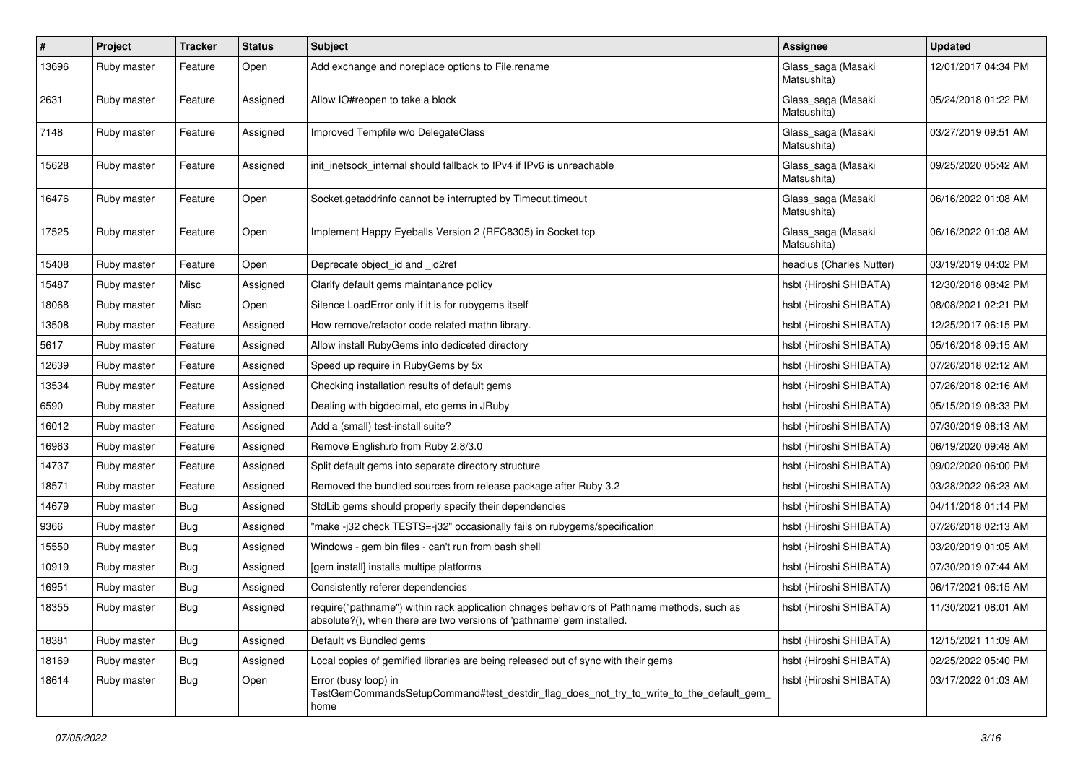| #     | Project     | <b>Tracker</b> | <b>Status</b> | <b>Subject</b>                                                                                                                                                      | Assignee                          | <b>Updated</b>      |
|-------|-------------|----------------|---------------|---------------------------------------------------------------------------------------------------------------------------------------------------------------------|-----------------------------------|---------------------|
| 13696 | Ruby master | Feature        | Open          | Add exchange and noreplace options to File.rename                                                                                                                   | Glass_saga (Masaki<br>Matsushita) | 12/01/2017 04:34 PM |
| 2631  | Ruby master | Feature        | Assigned      | Allow IO#reopen to take a block                                                                                                                                     | Glass_saga (Masaki<br>Matsushita) | 05/24/2018 01:22 PM |
| 7148  | Ruby master | Feature        | Assigned      | Improved Tempfile w/o DelegateClass                                                                                                                                 | Glass_saga (Masaki<br>Matsushita) | 03/27/2019 09:51 AM |
| 15628 | Ruby master | Feature        | Assigned      | init inetsock internal should fallback to IPv4 if IPv6 is unreachable                                                                                               | Glass_saga (Masaki<br>Matsushita) | 09/25/2020 05:42 AM |
| 16476 | Ruby master | Feature        | Open          | Socket.getaddrinfo cannot be interrupted by Timeout.timeout                                                                                                         | Glass_saga (Masaki<br>Matsushita) | 06/16/2022 01:08 AM |
| 17525 | Ruby master | Feature        | Open          | Implement Happy Eyeballs Version 2 (RFC8305) in Socket.tcp                                                                                                          | Glass_saga (Masaki<br>Matsushita) | 06/16/2022 01:08 AM |
| 15408 | Ruby master | Feature        | Open          | Deprecate object_id and _id2ref                                                                                                                                     | headius (Charles Nutter)          | 03/19/2019 04:02 PM |
| 15487 | Ruby master | Misc           | Assigned      | Clarify default gems maintanance policy                                                                                                                             | hsbt (Hiroshi SHIBATA)            | 12/30/2018 08:42 PM |
| 18068 | Ruby master | Misc           | Open          | Silence LoadError only if it is for rubygems itself                                                                                                                 | hsbt (Hiroshi SHIBATA)            | 08/08/2021 02:21 PM |
| 13508 | Ruby master | Feature        | Assigned      | How remove/refactor code related mathn library.                                                                                                                     | hsbt (Hiroshi SHIBATA)            | 12/25/2017 06:15 PM |
| 5617  | Ruby master | Feature        | Assigned      | Allow install RubyGems into dediceted directory                                                                                                                     | hsbt (Hiroshi SHIBATA)            | 05/16/2018 09:15 AM |
| 12639 | Ruby master | Feature        | Assigned      | Speed up require in RubyGems by 5x                                                                                                                                  | hsbt (Hiroshi SHIBATA)            | 07/26/2018 02:12 AM |
| 13534 | Ruby master | Feature        | Assigned      | Checking installation results of default gems                                                                                                                       | hsbt (Hiroshi SHIBATA)            | 07/26/2018 02:16 AM |
| 6590  | Ruby master | Feature        | Assigned      | Dealing with bigdecimal, etc gems in JRuby                                                                                                                          | hsbt (Hiroshi SHIBATA)            | 05/15/2019 08:33 PM |
| 16012 | Ruby master | Feature        | Assigned      | Add a (small) test-install suite?                                                                                                                                   | hsbt (Hiroshi SHIBATA)            | 07/30/2019 08:13 AM |
| 16963 | Ruby master | Feature        | Assigned      | Remove English.rb from Ruby 2.8/3.0                                                                                                                                 | hsbt (Hiroshi SHIBATA)            | 06/19/2020 09:48 AM |
| 14737 | Ruby master | Feature        | Assigned      | Split default gems into separate directory structure                                                                                                                | hsbt (Hiroshi SHIBATA)            | 09/02/2020 06:00 PM |
| 18571 | Ruby master | Feature        | Assigned      | Removed the bundled sources from release package after Ruby 3.2                                                                                                     | hsbt (Hiroshi SHIBATA)            | 03/28/2022 06:23 AM |
| 14679 | Ruby master | Bug            | Assigned      | StdLib gems should properly specify their dependencies                                                                                                              | hsbt (Hiroshi SHIBATA)            | 04/11/2018 01:14 PM |
| 9366  | Ruby master | Bug            | Assigned      | "make-j32 check TESTS=-j32" occasionally fails on rubygems/specification                                                                                            | hsbt (Hiroshi SHIBATA)            | 07/26/2018 02:13 AM |
| 15550 | Ruby master | <b>Bug</b>     | Assigned      | Windows - gem bin files - can't run from bash shell                                                                                                                 | hsbt (Hiroshi SHIBATA)            | 03/20/2019 01:05 AM |
| 10919 | Ruby master | Bug            | Assigned      | [gem install] installs multipe platforms                                                                                                                            | hsbt (Hiroshi SHIBATA)            | 07/30/2019 07:44 AM |
| 16951 | Ruby master | Bug            | Assigned      | Consistently referer dependencies                                                                                                                                   | hsbt (Hiroshi SHIBATA)            | 06/17/2021 06:15 AM |
| 18355 | Ruby master | Bug            | Assigned      | require("pathname") within rack application chnages behaviors of Pathname methods, such as<br>absolute?(), when there are two versions of 'pathname' gem installed. | hsbt (Hiroshi SHIBATA)            | 11/30/2021 08:01 AM |
| 18381 | Ruby master | Bug            | Assigned      | Default vs Bundled gems                                                                                                                                             | hsbt (Hiroshi SHIBATA)            | 12/15/2021 11:09 AM |
| 18169 | Ruby master | Bug            | Assigned      | Local copies of gemified libraries are being released out of sync with their gems                                                                                   | hsbt (Hiroshi SHIBATA)            | 02/25/2022 05:40 PM |
| 18614 | Ruby master | <b>Bug</b>     | Open          | Error (busy loop) in<br>TestGemCommandsSetupCommand#test_destdir_flag_does_not_try_to_write_to_the_default_gem_<br>home                                             | hsbt (Hiroshi SHIBATA)            | 03/17/2022 01:03 AM |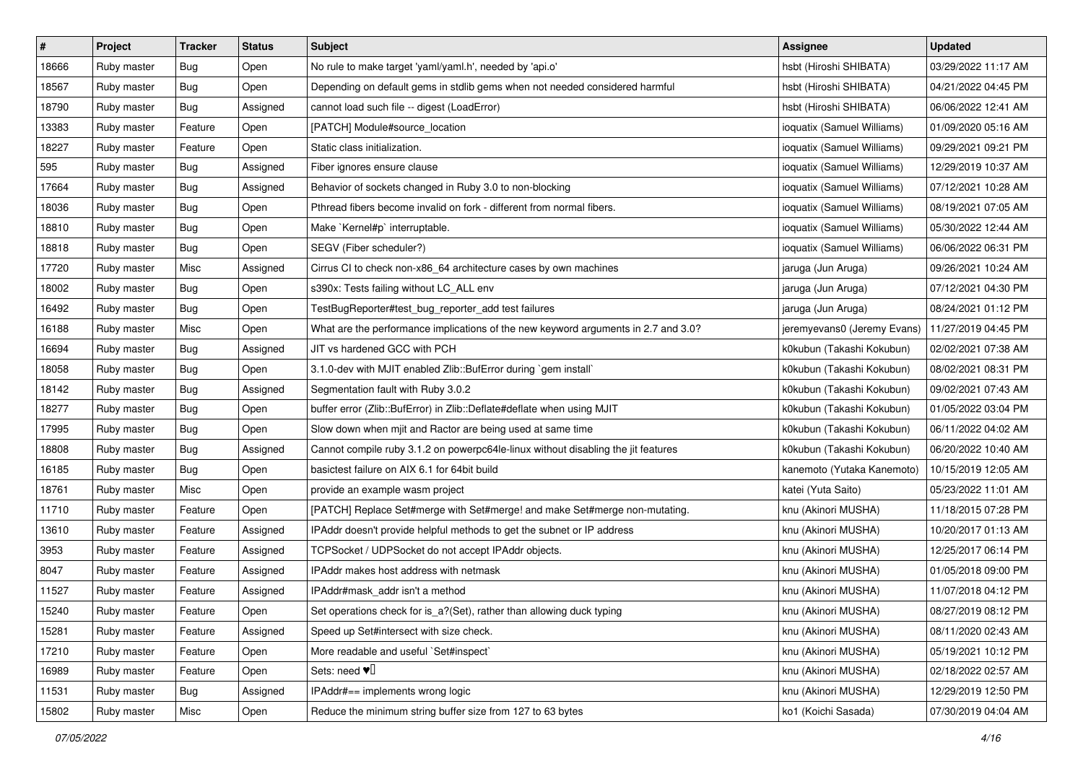| #     | Project     | Tracker    | <b>Status</b> | <b>Subject</b>                                                                     | Assignee                    | <b>Updated</b>      |
|-------|-------------|------------|---------------|------------------------------------------------------------------------------------|-----------------------------|---------------------|
| 18666 | Ruby master | <b>Bug</b> | Open          | No rule to make target 'yaml/yaml.h', needed by 'api.o'                            | hsbt (Hiroshi SHIBATA)      | 03/29/2022 11:17 AM |
| 18567 | Ruby master | Bug        | Open          | Depending on default gems in stdlib gems when not needed considered harmful        | hsbt (Hiroshi SHIBATA)      | 04/21/2022 04:45 PM |
| 18790 | Ruby master | <b>Bug</b> | Assigned      | cannot load such file -- digest (LoadError)                                        | hsbt (Hiroshi SHIBATA)      | 06/06/2022 12:41 AM |
| 13383 | Ruby master | Feature    | Open          | [PATCH] Module#source_location                                                     | ioquatix (Samuel Williams)  | 01/09/2020 05:16 AM |
| 18227 | Ruby master | Feature    | Open          | Static class initialization.                                                       | ioquatix (Samuel Williams)  | 09/29/2021 09:21 PM |
| 595   | Ruby master | <b>Bug</b> | Assigned      | Fiber ignores ensure clause                                                        | ioquatix (Samuel Williams)  | 12/29/2019 10:37 AM |
| 17664 | Ruby master | <b>Bug</b> | Assigned      | Behavior of sockets changed in Ruby 3.0 to non-blocking                            | ioquatix (Samuel Williams)  | 07/12/2021 10:28 AM |
| 18036 | Ruby master | <b>Bug</b> | Open          | Pthread fibers become invalid on fork - different from normal fibers.              | ioquatix (Samuel Williams)  | 08/19/2021 07:05 AM |
| 18810 | Ruby master | <b>Bug</b> | Open          | Make `Kernel#p` interruptable.                                                     | ioquatix (Samuel Williams)  | 05/30/2022 12:44 AM |
| 18818 | Ruby master | <b>Bug</b> | Open          | SEGV (Fiber scheduler?)                                                            | ioquatix (Samuel Williams)  | 06/06/2022 06:31 PM |
| 17720 | Ruby master | Misc       | Assigned      | Cirrus CI to check non-x86_64 architecture cases by own machines                   | jaruga (Jun Aruga)          | 09/26/2021 10:24 AM |
| 18002 | Ruby master | <b>Bug</b> | Open          | s390x: Tests failing without LC_ALL env                                            | jaruga (Jun Aruga)          | 07/12/2021 04:30 PM |
| 16492 | Ruby master | <b>Bug</b> | Open          | TestBugReporter#test_bug_reporter_add test failures                                | jaruga (Jun Aruga)          | 08/24/2021 01:12 PM |
| 16188 | Ruby master | Misc       | Open          | What are the performance implications of the new keyword arguments in 2.7 and 3.0? | jeremyevans0 (Jeremy Evans) | 11/27/2019 04:45 PM |
| 16694 | Ruby master | <b>Bug</b> | Assigned      | JIT vs hardened GCC with PCH                                                       | k0kubun (Takashi Kokubun)   | 02/02/2021 07:38 AM |
| 18058 | Ruby master | <b>Bug</b> | Open          | 3.1.0-dev with MJIT enabled Zlib::BufError during `gem install`                    | k0kubun (Takashi Kokubun)   | 08/02/2021 08:31 PM |
| 18142 | Ruby master | <b>Bug</b> | Assigned      | Segmentation fault with Ruby 3.0.2                                                 | k0kubun (Takashi Kokubun)   | 09/02/2021 07:43 AM |
| 18277 | Ruby master | <b>Bug</b> | Open          | buffer error (Zlib::BufError) in Zlib::Deflate#deflate when using MJIT             | k0kubun (Takashi Kokubun)   | 01/05/2022 03:04 PM |
| 17995 | Ruby master | <b>Bug</b> | Open          | Slow down when mjit and Ractor are being used at same time                         | k0kubun (Takashi Kokubun)   | 06/11/2022 04:02 AM |
| 18808 | Ruby master | Bug        | Assigned      | Cannot compile ruby 3.1.2 on powerpc64le-linux without disabling the jit features  | k0kubun (Takashi Kokubun)   | 06/20/2022 10:40 AM |
| 16185 | Ruby master | <b>Bug</b> | Open          | basictest failure on AIX 6.1 for 64bit build                                       | kanemoto (Yutaka Kanemoto)  | 10/15/2019 12:05 AM |
| 18761 | Ruby master | Misc       | Open          | provide an example wasm project                                                    | katei (Yuta Saito)          | 05/23/2022 11:01 AM |
| 11710 | Ruby master | Feature    | Open          | [PATCH] Replace Set#merge with Set#merge! and make Set#merge non-mutating.         | knu (Akinori MUSHA)         | 11/18/2015 07:28 PM |
| 13610 | Ruby master | Feature    | Assigned      | IPAddr doesn't provide helpful methods to get the subnet or IP address             | knu (Akinori MUSHA)         | 10/20/2017 01:13 AM |
| 3953  | Ruby master | Feature    | Assigned      | TCPSocket / UDPSocket do not accept IPAddr objects.                                | knu (Akinori MUSHA)         | 12/25/2017 06:14 PM |
| 8047  | Ruby master | Feature    | Assigned      | IPAddr makes host address with netmask                                             | knu (Akinori MUSHA)         | 01/05/2018 09:00 PM |
| 11527 | Ruby master | Feature    | Assigned      | IPAddr#mask_addr isn't a method                                                    | knu (Akinori MUSHA)         | 11/07/2018 04:12 PM |
| 15240 | Ruby master | Feature    | Open          | Set operations check for is_a?(Set), rather than allowing duck typing              | knu (Akinori MUSHA)         | 08/27/2019 08:12 PM |
| 15281 | Ruby master | Feature    | Assigned      | Speed up Set#intersect with size check.                                            | knu (Akinori MUSHA)         | 08/11/2020 02:43 AM |
| 17210 | Ruby master | Feature    | Open          | More readable and useful `Set#inspect`                                             | knu (Akinori MUSHA)         | 05/19/2021 10:12 PM |
| 16989 | Ruby master | Feature    | Open          | Sets: need $\Psi$ <sup><math>\Box</math></sup>                                     | knu (Akinori MUSHA)         | 02/18/2022 02:57 AM |
| 11531 | Ruby master | Bug        | Assigned      | IPAddr#== implements wrong logic                                                   | knu (Akinori MUSHA)         | 12/29/2019 12:50 PM |
| 15802 | Ruby master | Misc       | Open          | Reduce the minimum string buffer size from 127 to 63 bytes                         | ko1 (Koichi Sasada)         | 07/30/2019 04:04 AM |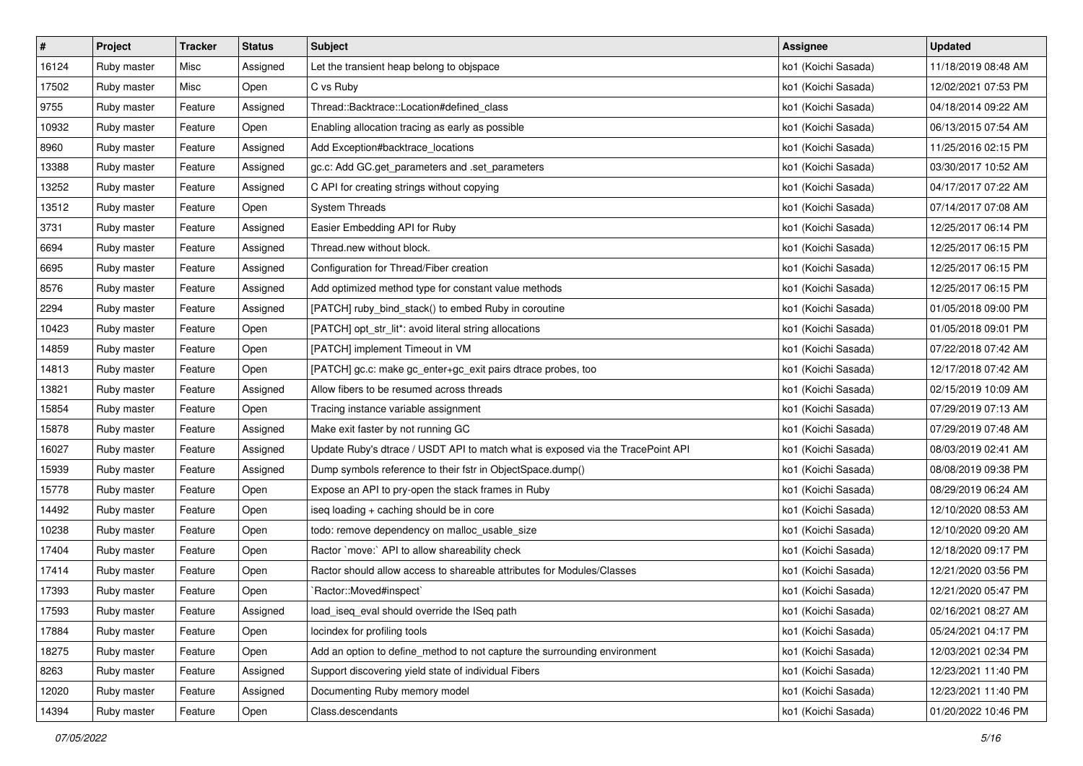| $\pmb{\#}$ | Project     | <b>Tracker</b> | <b>Status</b> | <b>Subject</b>                                                                  | <b>Assignee</b>     | <b>Updated</b>      |
|------------|-------------|----------------|---------------|---------------------------------------------------------------------------------|---------------------|---------------------|
| 16124      | Ruby master | Misc           | Assigned      | Let the transient heap belong to objspace                                       | ko1 (Koichi Sasada) | 11/18/2019 08:48 AM |
| 17502      | Ruby master | Misc           | Open          | C vs Ruby                                                                       | ko1 (Koichi Sasada) | 12/02/2021 07:53 PM |
| 9755       | Ruby master | Feature        | Assigned      | Thread::Backtrace::Location#defined class                                       | ko1 (Koichi Sasada) | 04/18/2014 09:22 AM |
| 10932      | Ruby master | Feature        | Open          | Enabling allocation tracing as early as possible                                | ko1 (Koichi Sasada) | 06/13/2015 07:54 AM |
| 8960       | Ruby master | Feature        | Assigned      | Add Exception#backtrace_locations                                               | ko1 (Koichi Sasada) | 11/25/2016 02:15 PM |
| 13388      | Ruby master | Feature        | Assigned      | gc.c: Add GC.get_parameters and .set_parameters                                 | ko1 (Koichi Sasada) | 03/30/2017 10:52 AM |
| 13252      | Ruby master | Feature        | Assigned      | C API for creating strings without copying                                      | ko1 (Koichi Sasada) | 04/17/2017 07:22 AM |
| 13512      | Ruby master | Feature        | Open          | <b>System Threads</b>                                                           | ko1 (Koichi Sasada) | 07/14/2017 07:08 AM |
| 3731       | Ruby master | Feature        | Assigned      | Easier Embedding API for Ruby                                                   | ko1 (Koichi Sasada) | 12/25/2017 06:14 PM |
| 6694       | Ruby master | Feature        | Assigned      | Thread.new without block.                                                       | ko1 (Koichi Sasada) | 12/25/2017 06:15 PM |
| 6695       | Ruby master | Feature        | Assigned      | Configuration for Thread/Fiber creation                                         | ko1 (Koichi Sasada) | 12/25/2017 06:15 PM |
| 8576       | Ruby master | Feature        | Assigned      | Add optimized method type for constant value methods                            | ko1 (Koichi Sasada) | 12/25/2017 06:15 PM |
| 2294       | Ruby master | Feature        | Assigned      | [PATCH] ruby_bind_stack() to embed Ruby in coroutine                            | ko1 (Koichi Sasada) | 01/05/2018 09:00 PM |
| 10423      | Ruby master | Feature        | Open          | [PATCH] opt_str_lit*: avoid literal string allocations                          | ko1 (Koichi Sasada) | 01/05/2018 09:01 PM |
| 14859      | Ruby master | Feature        | Open          | [PATCH] implement Timeout in VM                                                 | ko1 (Koichi Sasada) | 07/22/2018 07:42 AM |
| 14813      | Ruby master | Feature        | Open          | [PATCH] gc.c: make gc_enter+gc_exit pairs dtrace probes, too                    | ko1 (Koichi Sasada) | 12/17/2018 07:42 AM |
| 13821      | Ruby master | Feature        | Assigned      | Allow fibers to be resumed across threads                                       | ko1 (Koichi Sasada) | 02/15/2019 10:09 AM |
| 15854      | Ruby master | Feature        | Open          | Tracing instance variable assignment                                            | ko1 (Koichi Sasada) | 07/29/2019 07:13 AM |
| 15878      | Ruby master | Feature        | Assigned      | Make exit faster by not running GC                                              | ko1 (Koichi Sasada) | 07/29/2019 07:48 AM |
| 16027      | Ruby master | Feature        | Assigned      | Update Ruby's dtrace / USDT API to match what is exposed via the TracePoint API | ko1 (Koichi Sasada) | 08/03/2019 02:41 AM |
| 15939      | Ruby master | Feature        | Assigned      | Dump symbols reference to their fstr in ObjectSpace.dump()                      | ko1 (Koichi Sasada) | 08/08/2019 09:38 PM |
| 15778      | Ruby master | Feature        | Open          | Expose an API to pry-open the stack frames in Ruby                              | ko1 (Koichi Sasada) | 08/29/2019 06:24 AM |
| 14492      | Ruby master | Feature        | Open          | iseq loading + caching should be in core                                        | ko1 (Koichi Sasada) | 12/10/2020 08:53 AM |
| 10238      | Ruby master | Feature        | Open          | todo: remove dependency on malloc_usable_size                                   | ko1 (Koichi Sasada) | 12/10/2020 09:20 AM |
| 17404      | Ruby master | Feature        | Open          | Ractor `move:` API to allow shareability check                                  | ko1 (Koichi Sasada) | 12/18/2020 09:17 PM |
| 17414      | Ruby master | Feature        | Open          | Ractor should allow access to shareable attributes for Modules/Classes          | ko1 (Koichi Sasada) | 12/21/2020 03:56 PM |
| 17393      | Ruby master | Feature        | Open          | `Ractor::Moved#inspect`                                                         | ko1 (Koichi Sasada) | 12/21/2020 05:47 PM |
| 17593      | Ruby master | Feature        | Assigned      | load_iseq_eval should override the ISeq path                                    | ko1 (Koichi Sasada) | 02/16/2021 08:27 AM |
| 17884      | Ruby master | Feature        | Open          | locindex for profiling tools                                                    | ko1 (Koichi Sasada) | 05/24/2021 04:17 PM |
| 18275      | Ruby master | Feature        | Open          | Add an option to define_method to not capture the surrounding environment       | ko1 (Koichi Sasada) | 12/03/2021 02:34 PM |
| 8263       | Ruby master | Feature        | Assigned      | Support discovering yield state of individual Fibers                            | ko1 (Koichi Sasada) | 12/23/2021 11:40 PM |
| 12020      | Ruby master | Feature        | Assigned      | Documenting Ruby memory model                                                   | ko1 (Koichi Sasada) | 12/23/2021 11:40 PM |
| 14394      | Ruby master | Feature        | Open          | Class.descendants                                                               | ko1 (Koichi Sasada) | 01/20/2022 10:46 PM |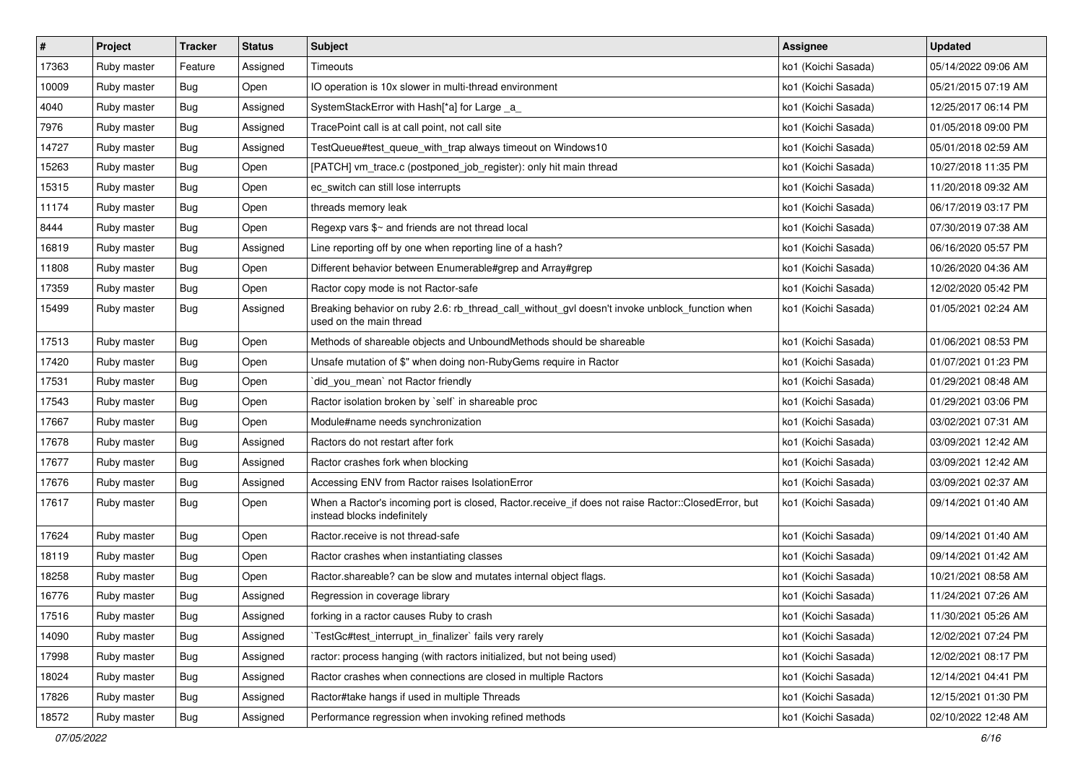| $\vert$ # | Project     | <b>Tracker</b> | <b>Status</b> | <b>Subject</b>                                                                                                                    | Assignee            | <b>Updated</b>      |
|-----------|-------------|----------------|---------------|-----------------------------------------------------------------------------------------------------------------------------------|---------------------|---------------------|
| 17363     | Ruby master | Feature        | Assigned      | Timeouts                                                                                                                          | ko1 (Koichi Sasada) | 05/14/2022 09:06 AM |
| 10009     | Ruby master | Bug            | Open          | IO operation is 10x slower in multi-thread environment                                                                            | ko1 (Koichi Sasada) | 05/21/2015 07:19 AM |
| 4040      | Ruby master | Bug            | Assigned      | SystemStackError with Hash[*a] for Large _a_                                                                                      | ko1 (Koichi Sasada) | 12/25/2017 06:14 PM |
| 7976      | Ruby master | Bug            | Assigned      | TracePoint call is at call point, not call site                                                                                   | ko1 (Koichi Sasada) | 01/05/2018 09:00 PM |
| 14727     | Ruby master | <b>Bug</b>     | Assigned      | TestQueue#test_queue_with_trap always timeout on Windows10                                                                        | ko1 (Koichi Sasada) | 05/01/2018 02:59 AM |
| 15263     | Ruby master | Bug            | Open          | [PATCH] vm_trace.c (postponed_job_register): only hit main thread                                                                 | ko1 (Koichi Sasada) | 10/27/2018 11:35 PM |
| 15315     | Ruby master | Bug            | Open          | ec switch can still lose interrupts                                                                                               | ko1 (Koichi Sasada) | 11/20/2018 09:32 AM |
| 11174     | Ruby master | Bug            | Open          | threads memory leak                                                                                                               | ko1 (Koichi Sasada) | 06/17/2019 03:17 PM |
| 8444      | Ruby master | Bug            | Open          | Regexp vars \$~ and friends are not thread local                                                                                  | ko1 (Koichi Sasada) | 07/30/2019 07:38 AM |
| 16819     | Ruby master | Bug            | Assigned      | Line reporting off by one when reporting line of a hash?                                                                          | ko1 (Koichi Sasada) | 06/16/2020 05:57 PM |
| 11808     | Ruby master | Bug            | Open          | Different behavior between Enumerable#grep and Array#grep                                                                         | ko1 (Koichi Sasada) | 10/26/2020 04:36 AM |
| 17359     | Ruby master | Bug            | Open          | Ractor copy mode is not Ractor-safe                                                                                               | ko1 (Koichi Sasada) | 12/02/2020 05:42 PM |
| 15499     | Ruby master | Bug            | Assigned      | Breaking behavior on ruby 2.6: rb_thread_call_without_gvl doesn't invoke unblock_function when<br>used on the main thread         | ko1 (Koichi Sasada) | 01/05/2021 02:24 AM |
| 17513     | Ruby master | Bug            | Open          | Methods of shareable objects and UnboundMethods should be shareable                                                               | ko1 (Koichi Sasada) | 01/06/2021 08:53 PM |
| 17420     | Ruby master | Bug            | Open          | Unsafe mutation of \$" when doing non-RubyGems require in Ractor                                                                  | ko1 (Koichi Sasada) | 01/07/2021 01:23 PM |
| 17531     | Ruby master | Bug            | Open          | did_you_mean' not Ractor friendly                                                                                                 | ko1 (Koichi Sasada) | 01/29/2021 08:48 AM |
| 17543     | Ruby master | <b>Bug</b>     | Open          | Ractor isolation broken by `self` in shareable proc                                                                               | ko1 (Koichi Sasada) | 01/29/2021 03:06 PM |
| 17667     | Ruby master | Bug            | Open          | Module#name needs synchronization                                                                                                 | ko1 (Koichi Sasada) | 03/02/2021 07:31 AM |
| 17678     | Ruby master | Bug            | Assigned      | Ractors do not restart after fork                                                                                                 | ko1 (Koichi Sasada) | 03/09/2021 12:42 AM |
| 17677     | Ruby master | Bug            | Assigned      | Ractor crashes fork when blocking                                                                                                 | ko1 (Koichi Sasada) | 03/09/2021 12:42 AM |
| 17676     | Ruby master | Bug            | Assigned      | Accessing ENV from Ractor raises IsolationError                                                                                   | ko1 (Koichi Sasada) | 03/09/2021 02:37 AM |
| 17617     | Ruby master | Bug            | Open          | When a Ractor's incoming port is closed, Ractor.receive_if does not raise Ractor::ClosedError, but<br>instead blocks indefinitely | ko1 (Koichi Sasada) | 09/14/2021 01:40 AM |
| 17624     | Ruby master | Bug            | Open          | Ractor.receive is not thread-safe                                                                                                 | ko1 (Koichi Sasada) | 09/14/2021 01:40 AM |
| 18119     | Ruby master | <b>Bug</b>     | Open          | Ractor crashes when instantiating classes                                                                                         | ko1 (Koichi Sasada) | 09/14/2021 01:42 AM |
| 18258     | Ruby master | Bug            | Open          | Ractor.shareable? can be slow and mutates internal object flags.                                                                  | ko1 (Koichi Sasada) | 10/21/2021 08:58 AM |
| 16776     | Ruby master | Bug            | Assigned      | Regression in coverage library                                                                                                    | ko1 (Koichi Sasada) | 11/24/2021 07:26 AM |
| 17516     | Ruby master | Bug            | Assigned      | forking in a ractor causes Ruby to crash                                                                                          | ko1 (Koichi Sasada) | 11/30/2021 05:26 AM |
| 14090     | Ruby master | Bug            | Assigned      | TestGc#test_interrupt_in_finalizer` fails very rarely                                                                             | ko1 (Koichi Sasada) | 12/02/2021 07:24 PM |
| 17998     | Ruby master | <b>Bug</b>     | Assigned      | ractor: process hanging (with ractors initialized, but not being used)                                                            | ko1 (Koichi Sasada) | 12/02/2021 08:17 PM |
| 18024     | Ruby master | <b>Bug</b>     | Assigned      | Ractor crashes when connections are closed in multiple Ractors                                                                    | ko1 (Koichi Sasada) | 12/14/2021 04:41 PM |
| 17826     | Ruby master | Bug            | Assigned      | Ractor#take hangs if used in multiple Threads                                                                                     | ko1 (Koichi Sasada) | 12/15/2021 01:30 PM |
| 18572     | Ruby master | <b>Bug</b>     | Assigned      | Performance regression when invoking refined methods                                                                              | ko1 (Koichi Sasada) | 02/10/2022 12:48 AM |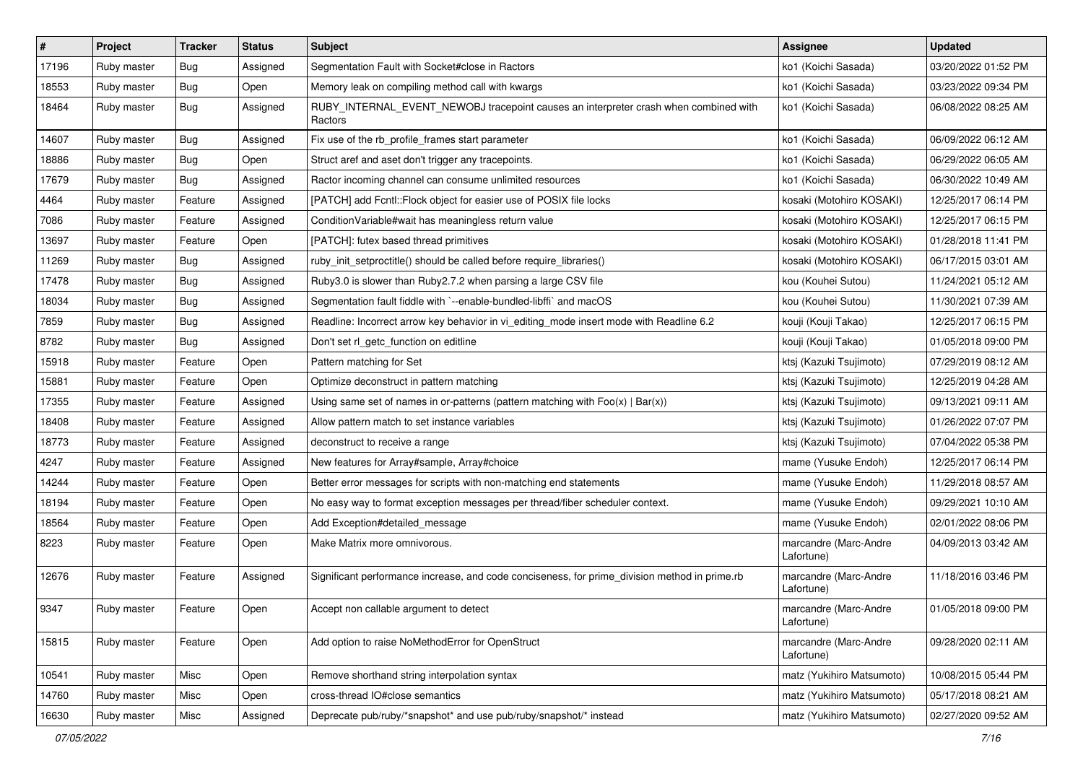| #     | Project     | <b>Tracker</b> | <b>Status</b> | <b>Subject</b>                                                                                  | Assignee                            | <b>Updated</b>      |
|-------|-------------|----------------|---------------|-------------------------------------------------------------------------------------------------|-------------------------------------|---------------------|
| 17196 | Ruby master | Bug            | Assigned      | Segmentation Fault with Socket#close in Ractors                                                 | ko1 (Koichi Sasada)                 | 03/20/2022 01:52 PM |
| 18553 | Ruby master | Bug            | Open          | Memory leak on compiling method call with kwargs                                                | ko1 (Koichi Sasada)                 | 03/23/2022 09:34 PM |
| 18464 | Ruby master | Bug            | Assigned      | RUBY_INTERNAL_EVENT_NEWOBJ tracepoint causes an interpreter crash when combined with<br>Ractors | ko1 (Koichi Sasada)                 | 06/08/2022 08:25 AM |
| 14607 | Ruby master | Bug            | Assigned      | Fix use of the rb_profile_frames start parameter                                                | ko1 (Koichi Sasada)                 | 06/09/2022 06:12 AM |
| 18886 | Ruby master | Bug            | Open          | Struct aref and aset don't trigger any tracepoints.                                             | ko1 (Koichi Sasada)                 | 06/29/2022 06:05 AM |
| 17679 | Ruby master | Bug            | Assigned      | Ractor incoming channel can consume unlimited resources                                         | ko1 (Koichi Sasada)                 | 06/30/2022 10:49 AM |
| 4464  | Ruby master | Feature        | Assigned      | [PATCH] add Fcntl::Flock object for easier use of POSIX file locks                              | kosaki (Motohiro KOSAKI)            | 12/25/2017 06:14 PM |
| 7086  | Ruby master | Feature        | Assigned      | ConditionVariable#wait has meaningless return value                                             | kosaki (Motohiro KOSAKI)            | 12/25/2017 06:15 PM |
| 13697 | Ruby master | Feature        | Open          | [PATCH]: futex based thread primitives                                                          | kosaki (Motohiro KOSAKI)            | 01/28/2018 11:41 PM |
| 11269 | Ruby master | Bug            | Assigned      | ruby_init_setproctitle() should be called before require_libraries()                            | kosaki (Motohiro KOSAKI)            | 06/17/2015 03:01 AM |
| 17478 | Ruby master | Bug            | Assigned      | Ruby3.0 is slower than Ruby2.7.2 when parsing a large CSV file                                  | kou (Kouhei Sutou)                  | 11/24/2021 05:12 AM |
| 18034 | Ruby master | Bug            | Assigned      | Segmentation fault fiddle with `--enable-bundled-libffi` and macOS                              | kou (Kouhei Sutou)                  | 11/30/2021 07:39 AM |
| 7859  | Ruby master | Bug            | Assigned      | Readline: Incorrect arrow key behavior in vi_editing_mode insert mode with Readline 6.2         | kouji (Kouji Takao)                 | 12/25/2017 06:15 PM |
| 8782  | Ruby master | <b>Bug</b>     | Assigned      | Don't set rl_getc_function on editline                                                          | kouji (Kouji Takao)                 | 01/05/2018 09:00 PM |
| 15918 | Ruby master | Feature        | Open          | Pattern matching for Set                                                                        | ktsj (Kazuki Tsujimoto)             | 07/29/2019 08:12 AM |
| 15881 | Ruby master | Feature        | Open          | Optimize deconstruct in pattern matching                                                        | ktsj (Kazuki Tsujimoto)             | 12/25/2019 04:28 AM |
| 17355 | Ruby master | Feature        | Assigned      | Using same set of names in or-patterns (pattern matching with $Foo(x)   Bar(x)$ )               | ktsj (Kazuki Tsujimoto)             | 09/13/2021 09:11 AM |
| 18408 | Ruby master | Feature        | Assigned      | Allow pattern match to set instance variables                                                   | ktsj (Kazuki Tsujimoto)             | 01/26/2022 07:07 PM |
| 18773 | Ruby master | Feature        | Assigned      | deconstruct to receive a range                                                                  | ktsj (Kazuki Tsujimoto)             | 07/04/2022 05:38 PM |
| 4247  | Ruby master | Feature        | Assigned      | New features for Array#sample, Array#choice                                                     | mame (Yusuke Endoh)                 | 12/25/2017 06:14 PM |
| 14244 | Ruby master | Feature        | Open          | Better error messages for scripts with non-matching end statements                              | mame (Yusuke Endoh)                 | 11/29/2018 08:57 AM |
| 18194 | Ruby master | Feature        | Open          | No easy way to format exception messages per thread/fiber scheduler context.                    | mame (Yusuke Endoh)                 | 09/29/2021 10:10 AM |
| 18564 | Ruby master | Feature        | Open          | Add Exception#detailed_message                                                                  | mame (Yusuke Endoh)                 | 02/01/2022 08:06 PM |
| 8223  | Ruby master | Feature        | Open          | Make Matrix more omnivorous.                                                                    | marcandre (Marc-Andre<br>Lafortune) | 04/09/2013 03:42 AM |
| 12676 | Ruby master | Feature        | Assigned      | Significant performance increase, and code conciseness, for prime_division method in prime.rb   | marcandre (Marc-Andre<br>Lafortune) | 11/18/2016 03:46 PM |
| 9347  | Ruby master | Feature        | Open          | Accept non callable argument to detect                                                          | marcandre (Marc-Andre<br>Lafortune) | 01/05/2018 09:00 PM |
| 15815 | Ruby master | Feature        | Open          | Add option to raise NoMethodError for OpenStruct                                                | marcandre (Marc-Andre<br>Lafortune) | 09/28/2020 02:11 AM |
| 10541 | Ruby master | Misc           | Open          | Remove shorthand string interpolation syntax                                                    | matz (Yukihiro Matsumoto)           | 10/08/2015 05:44 PM |
| 14760 | Ruby master | Misc           | Open          | cross-thread IO#close semantics                                                                 | matz (Yukihiro Matsumoto)           | 05/17/2018 08:21 AM |
| 16630 | Ruby master | Misc           | Assigned      | Deprecate pub/ruby/*snapshot* and use pub/ruby/snapshot/* instead                               | matz (Yukihiro Matsumoto)           | 02/27/2020 09:52 AM |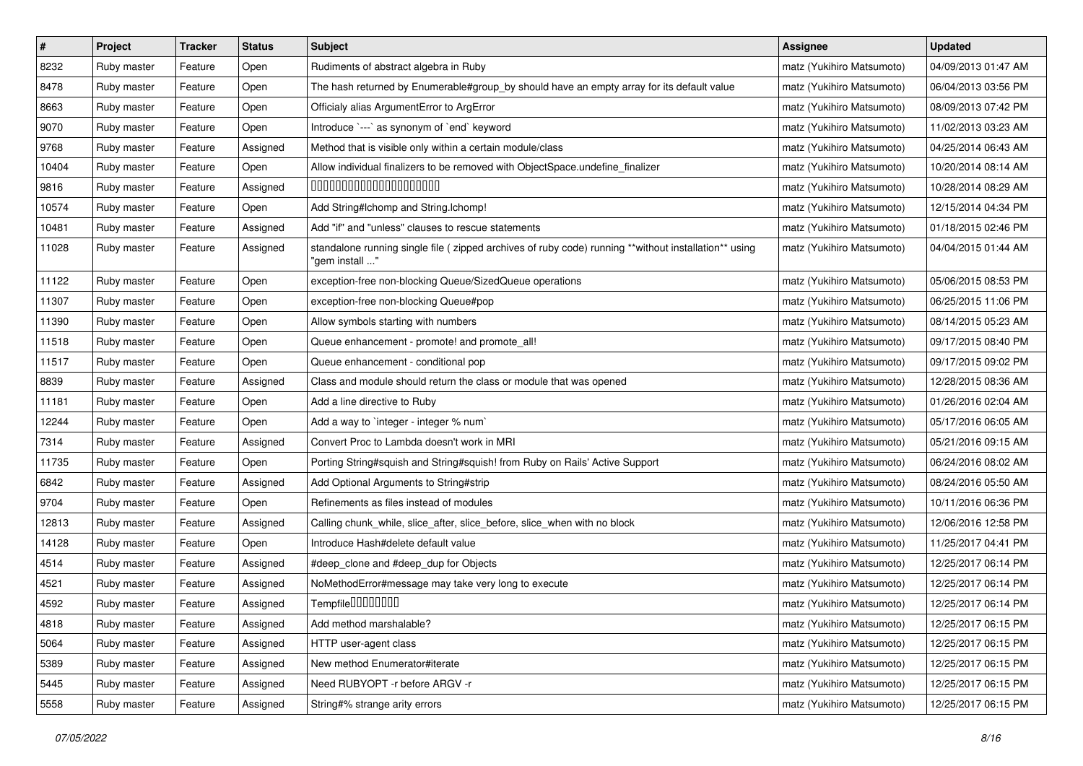| $\pmb{\#}$ | Project     | <b>Tracker</b> | <b>Status</b> | Subject                                                                                                                 | Assignee                  | <b>Updated</b>      |
|------------|-------------|----------------|---------------|-------------------------------------------------------------------------------------------------------------------------|---------------------------|---------------------|
| 8232       | Ruby master | Feature        | Open          | Rudiments of abstract algebra in Ruby                                                                                   | matz (Yukihiro Matsumoto) | 04/09/2013 01:47 AM |
| 8478       | Ruby master | Feature        | Open          | The hash returned by Enumerable#group_by should have an empty array for its default value                               | matz (Yukihiro Matsumoto) | 06/04/2013 03:56 PM |
| 8663       | Ruby master | Feature        | Open          | Officialy alias ArgumentError to ArgError                                                                               | matz (Yukihiro Matsumoto) | 08/09/2013 07:42 PM |
| 9070       | Ruby master | Feature        | Open          | Introduce `---` as synonym of `end` keyword                                                                             | matz (Yukihiro Matsumoto) | 11/02/2013 03:23 AM |
| 9768       | Ruby master | Feature        | Assigned      | Method that is visible only within a certain module/class                                                               | matz (Yukihiro Matsumoto) | 04/25/2014 06:43 AM |
| 10404      | Ruby master | Feature        | Open          | Allow individual finalizers to be removed with ObjectSpace.undefine_finalizer                                           | matz (Yukihiro Matsumoto) | 10/20/2014 08:14 AM |
| 9816       | Ruby master | Feature        | Assigned      | 00000000000000000000                                                                                                    | matz (Yukihiro Matsumoto) | 10/28/2014 08:29 AM |
| 10574      | Ruby master | Feature        | Open          | Add String#Ichomp and String.Ichomp!                                                                                    | matz (Yukihiro Matsumoto) | 12/15/2014 04:34 PM |
| 10481      | Ruby master | Feature        | Assigned      | Add "if" and "unless" clauses to rescue statements                                                                      | matz (Yukihiro Matsumoto) | 01/18/2015 02:46 PM |
| 11028      | Ruby master | Feature        | Assigned      | standalone running single file ( zipped archives of ruby code) running **without installation** using<br>"gem install " | matz (Yukihiro Matsumoto) | 04/04/2015 01:44 AM |
| 11122      | Ruby master | Feature        | Open          | exception-free non-blocking Queue/SizedQueue operations                                                                 | matz (Yukihiro Matsumoto) | 05/06/2015 08:53 PM |
| 11307      | Ruby master | Feature        | Open          | exception-free non-blocking Queue#pop                                                                                   | matz (Yukihiro Matsumoto) | 06/25/2015 11:06 PM |
| 11390      | Ruby master | Feature        | Open          | Allow symbols starting with numbers                                                                                     | matz (Yukihiro Matsumoto) | 08/14/2015 05:23 AM |
| 11518      | Ruby master | Feature        | Open          | Queue enhancement - promote! and promote_all!                                                                           | matz (Yukihiro Matsumoto) | 09/17/2015 08:40 PM |
| 11517      | Ruby master | Feature        | Open          | Queue enhancement - conditional pop                                                                                     | matz (Yukihiro Matsumoto) | 09/17/2015 09:02 PM |
| 8839       | Ruby master | Feature        | Assigned      | Class and module should return the class or module that was opened                                                      | matz (Yukihiro Matsumoto) | 12/28/2015 08:36 AM |
| 11181      | Ruby master | Feature        | Open          | Add a line directive to Ruby                                                                                            | matz (Yukihiro Matsumoto) | 01/26/2016 02:04 AM |
| 12244      | Ruby master | Feature        | Open          | Add a way to `integer - integer % num`                                                                                  | matz (Yukihiro Matsumoto) | 05/17/2016 06:05 AM |
| 7314       | Ruby master | Feature        | Assigned      | Convert Proc to Lambda doesn't work in MRI                                                                              | matz (Yukihiro Matsumoto) | 05/21/2016 09:15 AM |
| 11735      | Ruby master | Feature        | Open          | Porting String#squish and String#squish! from Ruby on Rails' Active Support                                             | matz (Yukihiro Matsumoto) | 06/24/2016 08:02 AM |
| 6842       | Ruby master | Feature        | Assigned      | Add Optional Arguments to String#strip                                                                                  | matz (Yukihiro Matsumoto) | 08/24/2016 05:50 AM |
| 9704       | Ruby master | Feature        | Open          | Refinements as files instead of modules                                                                                 | matz (Yukihiro Matsumoto) | 10/11/2016 06:36 PM |
| 12813      | Ruby master | Feature        | Assigned      | Calling chunk_while, slice_after, slice_before, slice_when with no block                                                | matz (Yukihiro Matsumoto) | 12/06/2016 12:58 PM |
| 14128      | Ruby master | Feature        | Open          | Introduce Hash#delete default value                                                                                     | matz (Yukihiro Matsumoto) | 11/25/2017 04:41 PM |
| 4514       | Ruby master | Feature        | Assigned      | #deep_clone and #deep_dup for Objects                                                                                   | matz (Yukihiro Matsumoto) | 12/25/2017 06:14 PM |
| 4521       | Ruby master | Feature        | Assigned      | NoMethodError#message may take very long to execute                                                                     | matz (Yukihiro Matsumoto) | 12/25/2017 06:14 PM |
| 4592       | Ruby master | Feature        | Assigned      | Tempfile0000000                                                                                                         | matz (Yukihiro Matsumoto) | 12/25/2017 06:14 PM |
| 4818       | Ruby master | Feature        | Assigned      | Add method marshalable?                                                                                                 | matz (Yukihiro Matsumoto) | 12/25/2017 06:15 PM |
| 5064       | Ruby master | Feature        | Assigned      | HTTP user-agent class                                                                                                   | matz (Yukihiro Matsumoto) | 12/25/2017 06:15 PM |
| 5389       | Ruby master | Feature        | Assigned      | New method Enumerator#iterate                                                                                           | matz (Yukihiro Matsumoto) | 12/25/2017 06:15 PM |
| 5445       | Ruby master | Feature        | Assigned      | Need RUBYOPT -r before ARGV -r                                                                                          | matz (Yukihiro Matsumoto) | 12/25/2017 06:15 PM |
| 5558       | Ruby master | Feature        | Assigned      | String#% strange arity errors                                                                                           | matz (Yukihiro Matsumoto) | 12/25/2017 06:15 PM |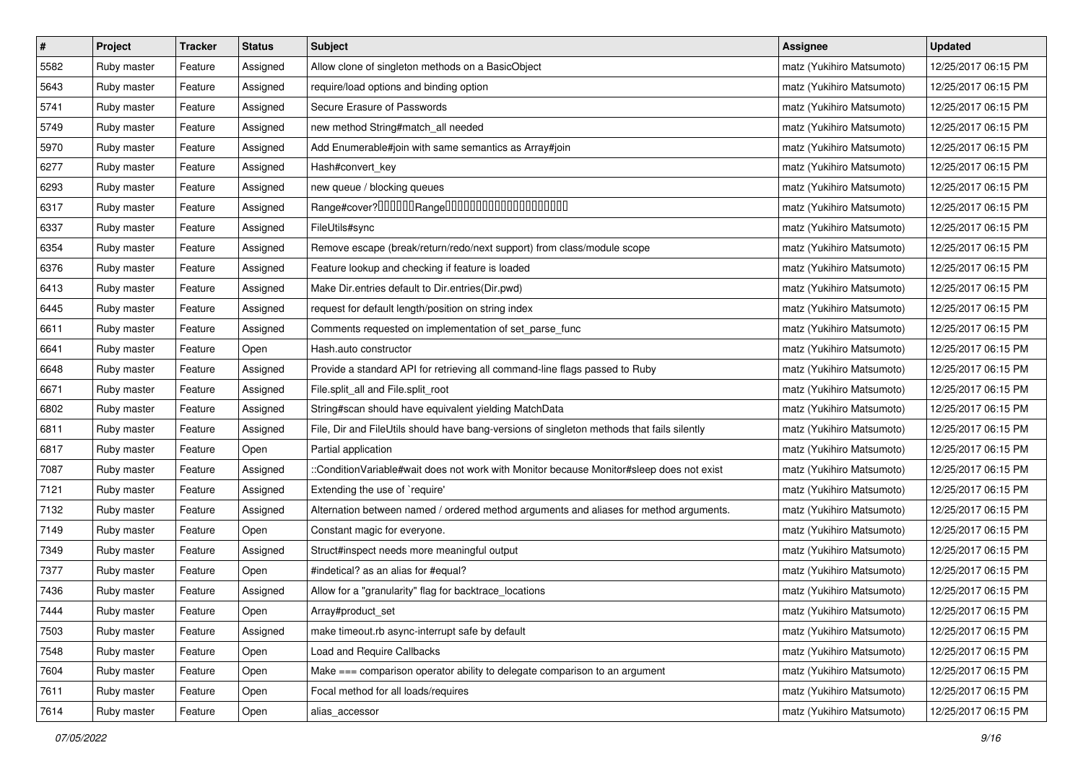| $\pmb{\#}$ | Project     | <b>Tracker</b> | <b>Status</b> | <b>Subject</b>                                                                             | <b>Assignee</b>           | <b>Updated</b>      |
|------------|-------------|----------------|---------------|--------------------------------------------------------------------------------------------|---------------------------|---------------------|
| 5582       | Ruby master | Feature        | Assigned      | Allow clone of singleton methods on a BasicObject                                          | matz (Yukihiro Matsumoto) | 12/25/2017 06:15 PM |
| 5643       | Ruby master | Feature        | Assigned      | require/load options and binding option                                                    | matz (Yukihiro Matsumoto) | 12/25/2017 06:15 PM |
| 5741       | Ruby master | Feature        | Assigned      | Secure Erasure of Passwords                                                                | matz (Yukihiro Matsumoto) | 12/25/2017 06:15 PM |
| 5749       | Ruby master | Feature        | Assigned      | new method String#match_all needed                                                         | matz (Yukihiro Matsumoto) | 12/25/2017 06:15 PM |
| 5970       | Ruby master | Feature        | Assigned      | Add Enumerable#join with same semantics as Array#join                                      | matz (Yukihiro Matsumoto) | 12/25/2017 06:15 PM |
| 6277       | Ruby master | Feature        | Assigned      | Hash#convert_key                                                                           | matz (Yukihiro Matsumoto) | 12/25/2017 06:15 PM |
| 6293       | Ruby master | Feature        | Assigned      | new queue / blocking queues                                                                | matz (Yukihiro Matsumoto) | 12/25/2017 06:15 PM |
| 6317       | Ruby master | Feature        | Assigned      |                                                                                            | matz (Yukihiro Matsumoto) | 12/25/2017 06:15 PM |
| 6337       | Ruby master | Feature        | Assigned      | FileUtils#sync                                                                             | matz (Yukihiro Matsumoto) | 12/25/2017 06:15 PM |
| 6354       | Ruby master | Feature        | Assigned      | Remove escape (break/return/redo/next support) from class/module scope                     | matz (Yukihiro Matsumoto) | 12/25/2017 06:15 PM |
| 6376       | Ruby master | Feature        | Assigned      | Feature lookup and checking if feature is loaded                                           | matz (Yukihiro Matsumoto) | 12/25/2017 06:15 PM |
| 6413       | Ruby master | Feature        | Assigned      | Make Dir.entries default to Dir.entries(Dir.pwd)                                           | matz (Yukihiro Matsumoto) | 12/25/2017 06:15 PM |
| 6445       | Ruby master | Feature        | Assigned      | request for default length/position on string index                                        | matz (Yukihiro Matsumoto) | 12/25/2017 06:15 PM |
| 6611       | Ruby master | Feature        | Assigned      | Comments requested on implementation of set_parse_func                                     | matz (Yukihiro Matsumoto) | 12/25/2017 06:15 PM |
| 6641       | Ruby master | Feature        | Open          | Hash.auto constructor                                                                      | matz (Yukihiro Matsumoto) | 12/25/2017 06:15 PM |
| 6648       | Ruby master | Feature        | Assigned      | Provide a standard API for retrieving all command-line flags passed to Ruby                | matz (Yukihiro Matsumoto) | 12/25/2017 06:15 PM |
| 6671       | Ruby master | Feature        | Assigned      | File.split_all and File.split_root                                                         | matz (Yukihiro Matsumoto) | 12/25/2017 06:15 PM |
| 6802       | Ruby master | Feature        | Assigned      | String#scan should have equivalent yielding MatchData                                      | matz (Yukihiro Matsumoto) | 12/25/2017 06:15 PM |
| 6811       | Ruby master | Feature        | Assigned      | File, Dir and FileUtils should have bang-versions of singleton methods that fails silently | matz (Yukihiro Matsumoto) | 12/25/2017 06:15 PM |
| 6817       | Ruby master | Feature        | Open          | Partial application                                                                        | matz (Yukihiro Matsumoto) | 12/25/2017 06:15 PM |
| 7087       | Ruby master | Feature        | Assigned      | ::ConditionVariable#wait does not work with Monitor because Monitor#sleep does not exist   | matz (Yukihiro Matsumoto) | 12/25/2017 06:15 PM |
| 7121       | Ruby master | Feature        | Assigned      | Extending the use of `require'                                                             | matz (Yukihiro Matsumoto) | 12/25/2017 06:15 PM |
| 7132       | Ruby master | Feature        | Assigned      | Alternation between named / ordered method arguments and aliases for method arguments.     | matz (Yukihiro Matsumoto) | 12/25/2017 06:15 PM |
| 7149       | Ruby master | Feature        | Open          | Constant magic for everyone.                                                               | matz (Yukihiro Matsumoto) | 12/25/2017 06:15 PM |
| 7349       | Ruby master | Feature        | Assigned      | Struct#inspect needs more meaningful output                                                | matz (Yukihiro Matsumoto) | 12/25/2017 06:15 PM |
| 7377       | Ruby master | Feature        | Open          | #indetical? as an alias for #equal?                                                        | matz (Yukihiro Matsumoto) | 12/25/2017 06:15 PM |
| 7436       | Ruby master | Feature        | Assigned      | Allow for a "granularity" flag for backtrace_locations                                     | matz (Yukihiro Matsumoto) | 12/25/2017 06:15 PM |
| 7444       | Ruby master | Feature        | Open          | Array#product_set                                                                          | matz (Yukihiro Matsumoto) | 12/25/2017 06:15 PM |
| 7503       | Ruby master | Feature        | Assigned      | make timeout.rb async-interrupt safe by default                                            | matz (Yukihiro Matsumoto) | 12/25/2017 06:15 PM |
| 7548       | Ruby master | Feature        | Open          | Load and Require Callbacks                                                                 | matz (Yukihiro Matsumoto) | 12/25/2017 06:15 PM |
| 7604       | Ruby master | Feature        | Open          | Make === comparison operator ability to delegate comparison to an argument                 | matz (Yukihiro Matsumoto) | 12/25/2017 06:15 PM |
| 7611       | Ruby master | Feature        | Open          | Focal method for all loads/requires                                                        | matz (Yukihiro Matsumoto) | 12/25/2017 06:15 PM |
| 7614       | Ruby master | Feature        | Open          | alias_accessor                                                                             | matz (Yukihiro Matsumoto) | 12/25/2017 06:15 PM |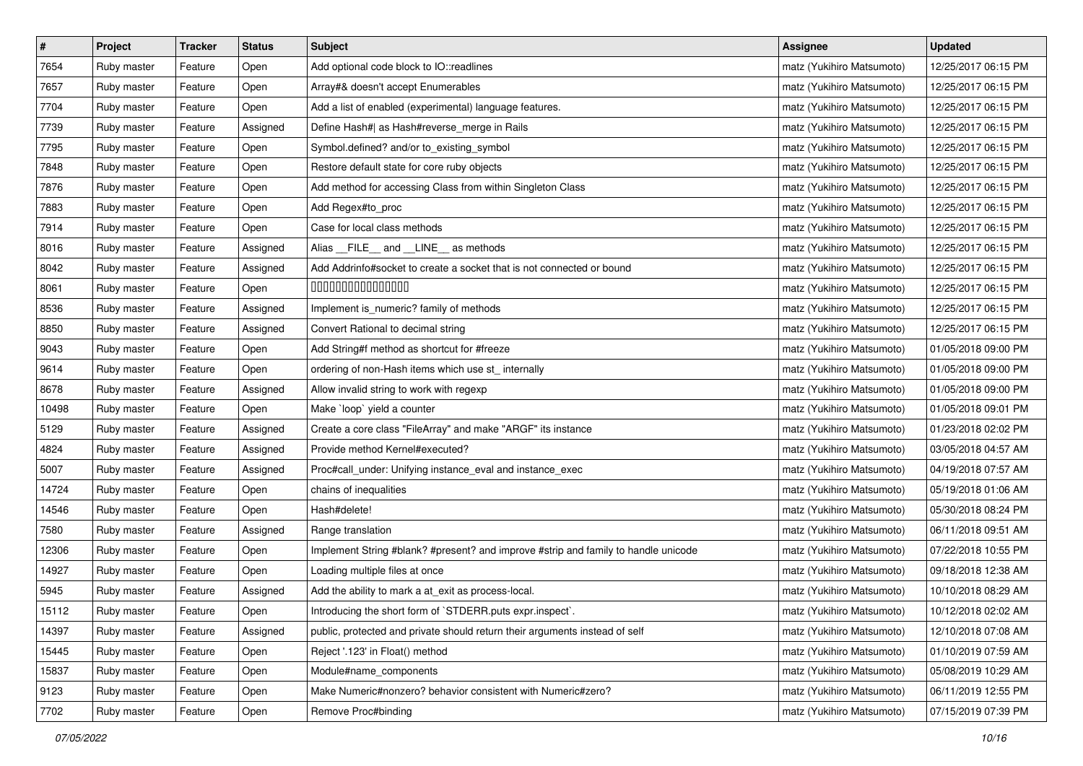| $\pmb{\#}$ | Project     | <b>Tracker</b> | <b>Status</b> | <b>Subject</b>                                                                     | <b>Assignee</b>           | <b>Updated</b>      |
|------------|-------------|----------------|---------------|------------------------------------------------------------------------------------|---------------------------|---------------------|
| 7654       | Ruby master | Feature        | Open          | Add optional code block to IO::readlines                                           | matz (Yukihiro Matsumoto) | 12/25/2017 06:15 PM |
| 7657       | Ruby master | Feature        | Open          | Array#& doesn't accept Enumerables                                                 | matz (Yukihiro Matsumoto) | 12/25/2017 06:15 PM |
| 7704       | Ruby master | Feature        | Open          | Add a list of enabled (experimental) language features.                            | matz (Yukihiro Matsumoto) | 12/25/2017 06:15 PM |
| 7739       | Ruby master | Feature        | Assigned      | Define Hash#  as Hash#reverse_merge in Rails                                       | matz (Yukihiro Matsumoto) | 12/25/2017 06:15 PM |
| 7795       | Ruby master | Feature        | Open          | Symbol.defined? and/or to_existing_symbol                                          | matz (Yukihiro Matsumoto) | 12/25/2017 06:15 PM |
| 7848       | Ruby master | Feature        | Open          | Restore default state for core ruby objects                                        | matz (Yukihiro Matsumoto) | 12/25/2017 06:15 PM |
| 7876       | Ruby master | Feature        | Open          | Add method for accessing Class from within Singleton Class                         | matz (Yukihiro Matsumoto) | 12/25/2017 06:15 PM |
| 7883       | Ruby master | Feature        | Open          | Add Regex#to_proc                                                                  | matz (Yukihiro Matsumoto) | 12/25/2017 06:15 PM |
| 7914       | Ruby master | Feature        | Open          | Case for local class methods                                                       | matz (Yukihiro Matsumoto) | 12/25/2017 06:15 PM |
| 8016       | Ruby master | Feature        | Assigned      | Alias __FILE__ and __LINE__ as methods                                             | matz (Yukihiro Matsumoto) | 12/25/2017 06:15 PM |
| 8042       | Ruby master | Feature        | Assigned      | Add Addrinfo#socket to create a socket that is not connected or bound              | matz (Yukihiro Matsumoto) | 12/25/2017 06:15 PM |
| 8061       | Ruby master | Feature        | Open          | 000000000000000                                                                    | matz (Yukihiro Matsumoto) | 12/25/2017 06:15 PM |
| 8536       | Ruby master | Feature        | Assigned      | Implement is_numeric? family of methods                                            | matz (Yukihiro Matsumoto) | 12/25/2017 06:15 PM |
| 8850       | Ruby master | Feature        | Assigned      | Convert Rational to decimal string                                                 | matz (Yukihiro Matsumoto) | 12/25/2017 06:15 PM |
| 9043       | Ruby master | Feature        | Open          | Add String#f method as shortcut for #freeze                                        | matz (Yukihiro Matsumoto) | 01/05/2018 09:00 PM |
| 9614       | Ruby master | Feature        | Open          | ordering of non-Hash items which use st_internally                                 | matz (Yukihiro Matsumoto) | 01/05/2018 09:00 PM |
| 8678       | Ruby master | Feature        | Assigned      | Allow invalid string to work with regexp                                           | matz (Yukihiro Matsumoto) | 01/05/2018 09:00 PM |
| 10498      | Ruby master | Feature        | Open          | Make 'loop' yield a counter                                                        | matz (Yukihiro Matsumoto) | 01/05/2018 09:01 PM |
| 5129       | Ruby master | Feature        | Assigned      | Create a core class "FileArray" and make "ARGF" its instance                       | matz (Yukihiro Matsumoto) | 01/23/2018 02:02 PM |
| 4824       | Ruby master | Feature        | Assigned      | Provide method Kernel#executed?                                                    | matz (Yukihiro Matsumoto) | 03/05/2018 04:57 AM |
| 5007       | Ruby master | Feature        | Assigned      | Proc#call_under: Unifying instance_eval and instance_exec                          | matz (Yukihiro Matsumoto) | 04/19/2018 07:57 AM |
| 14724      | Ruby master | Feature        | Open          | chains of inequalities                                                             | matz (Yukihiro Matsumoto) | 05/19/2018 01:06 AM |
| 14546      | Ruby master | Feature        | Open          | Hash#delete!                                                                       | matz (Yukihiro Matsumoto) | 05/30/2018 08:24 PM |
| 7580       | Ruby master | Feature        | Assigned      | Range translation                                                                  | matz (Yukihiro Matsumoto) | 06/11/2018 09:51 AM |
| 12306      | Ruby master | Feature        | Open          | Implement String #blank? #present? and improve #strip and family to handle unicode | matz (Yukihiro Matsumoto) | 07/22/2018 10:55 PM |
| 14927      | Ruby master | Feature        | Open          | Loading multiple files at once                                                     | matz (Yukihiro Matsumoto) | 09/18/2018 12:38 AM |
| 5945       | Ruby master | Feature        | Assigned      | Add the ability to mark a at_exit as process-local.                                | matz (Yukihiro Matsumoto) | 10/10/2018 08:29 AM |
| 15112      | Ruby master | Feature        | Open          | Introducing the short form of `STDERR.puts expr.inspect`.                          | matz (Yukihiro Matsumoto) | 10/12/2018 02:02 AM |
| 14397      | Ruby master | Feature        | Assigned      | public, protected and private should return their arguments instead of self        | matz (Yukihiro Matsumoto) | 12/10/2018 07:08 AM |
| 15445      | Ruby master | Feature        | Open          | Reject '.123' in Float() method                                                    | matz (Yukihiro Matsumoto) | 01/10/2019 07:59 AM |
| 15837      | Ruby master | Feature        | Open          | Module#name_components                                                             | matz (Yukihiro Matsumoto) | 05/08/2019 10:29 AM |
| 9123       | Ruby master | Feature        | Open          | Make Numeric#nonzero? behavior consistent with Numeric#zero?                       | matz (Yukihiro Matsumoto) | 06/11/2019 12:55 PM |
| 7702       | Ruby master | Feature        | Open          | Remove Proc#binding                                                                | matz (Yukihiro Matsumoto) | 07/15/2019 07:39 PM |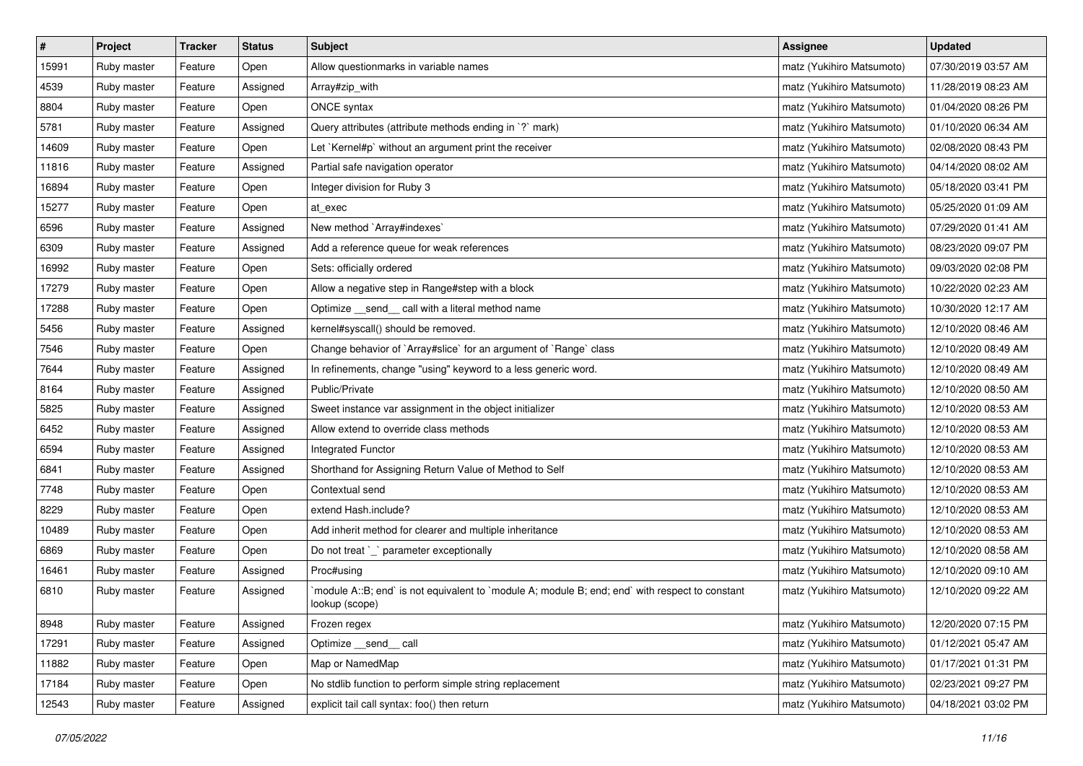| $\vert$ # | Project     | <b>Tracker</b> | <b>Status</b> | <b>Subject</b>                                                                                                   | <b>Assignee</b>           | <b>Updated</b>      |
|-----------|-------------|----------------|---------------|------------------------------------------------------------------------------------------------------------------|---------------------------|---------------------|
| 15991     | Ruby master | Feature        | Open          | Allow questionmarks in variable names                                                                            | matz (Yukihiro Matsumoto) | 07/30/2019 03:57 AM |
| 4539      | Ruby master | Feature        | Assigned      | Array#zip_with                                                                                                   | matz (Yukihiro Matsumoto) | 11/28/2019 08:23 AM |
| 8804      | Ruby master | Feature        | Open          | ONCE syntax                                                                                                      | matz (Yukihiro Matsumoto) | 01/04/2020 08:26 PM |
| 5781      | Ruby master | Feature        | Assigned      | Query attributes (attribute methods ending in `?` mark)                                                          | matz (Yukihiro Matsumoto) | 01/10/2020 06:34 AM |
| 14609     | Ruby master | Feature        | Open          | Let `Kernel#p` without an argument print the receiver                                                            | matz (Yukihiro Matsumoto) | 02/08/2020 08:43 PM |
| 11816     | Ruby master | Feature        | Assigned      | Partial safe navigation operator                                                                                 | matz (Yukihiro Matsumoto) | 04/14/2020 08:02 AM |
| 16894     | Ruby master | Feature        | Open          | Integer division for Ruby 3                                                                                      | matz (Yukihiro Matsumoto) | 05/18/2020 03:41 PM |
| 15277     | Ruby master | Feature        | Open          | at exec                                                                                                          | matz (Yukihiro Matsumoto) | 05/25/2020 01:09 AM |
| 6596      | Ruby master | Feature        | Assigned      | New method `Array#indexes`                                                                                       | matz (Yukihiro Matsumoto) | 07/29/2020 01:41 AM |
| 6309      | Ruby master | Feature        | Assigned      | Add a reference queue for weak references                                                                        | matz (Yukihiro Matsumoto) | 08/23/2020 09:07 PM |
| 16992     | Ruby master | Feature        | Open          | Sets: officially ordered                                                                                         | matz (Yukihiro Matsumoto) | 09/03/2020 02:08 PM |
| 17279     | Ruby master | Feature        | Open          | Allow a negative step in Range#step with a block                                                                 | matz (Yukihiro Matsumoto) | 10/22/2020 02:23 AM |
| 17288     | Ruby master | Feature        | Open          | Optimize _send_ call with a literal method name                                                                  | matz (Yukihiro Matsumoto) | 10/30/2020 12:17 AM |
| 5456      | Ruby master | Feature        | Assigned      | kernel#syscall() should be removed.                                                                              | matz (Yukihiro Matsumoto) | 12/10/2020 08:46 AM |
| 7546      | Ruby master | Feature        | Open          | Change behavior of `Array#slice` for an argument of `Range` class                                                | matz (Yukihiro Matsumoto) | 12/10/2020 08:49 AM |
| 7644      | Ruby master | Feature        | Assigned      | In refinements, change "using" keyword to a less generic word.                                                   | matz (Yukihiro Matsumoto) | 12/10/2020 08:49 AM |
| 8164      | Ruby master | Feature        | Assigned      | Public/Private                                                                                                   | matz (Yukihiro Matsumoto) | 12/10/2020 08:50 AM |
| 5825      | Ruby master | Feature        | Assigned      | Sweet instance var assignment in the object initializer                                                          | matz (Yukihiro Matsumoto) | 12/10/2020 08:53 AM |
| 6452      | Ruby master | Feature        | Assigned      | Allow extend to override class methods                                                                           | matz (Yukihiro Matsumoto) | 12/10/2020 08:53 AM |
| 6594      | Ruby master | Feature        | Assigned      | Integrated Functor                                                                                               | matz (Yukihiro Matsumoto) | 12/10/2020 08:53 AM |
| 6841      | Ruby master | Feature        | Assigned      | Shorthand for Assigning Return Value of Method to Self                                                           | matz (Yukihiro Matsumoto) | 12/10/2020 08:53 AM |
| 7748      | Ruby master | Feature        | Open          | Contextual send                                                                                                  | matz (Yukihiro Matsumoto) | 12/10/2020 08:53 AM |
| 8229      | Ruby master | Feature        | Open          | extend Hash.include?                                                                                             | matz (Yukihiro Matsumoto) | 12/10/2020 08:53 AM |
| 10489     | Ruby master | Feature        | Open          | Add inherit method for clearer and multiple inheritance                                                          | matz (Yukihiro Matsumoto) | 12/10/2020 08:53 AM |
| 6869      | Ruby master | Feature        | Open          | Do not treat `_` parameter exceptionally                                                                         | matz (Yukihiro Matsumoto) | 12/10/2020 08:58 AM |
| 16461     | Ruby master | Feature        | Assigned      | Proc#using                                                                                                       | matz (Yukihiro Matsumoto) | 12/10/2020 09:10 AM |
| 6810      | Ruby master | Feature        | Assigned      | module A::B; end` is not equivalent to `module A; module B; end; end` with respect to constant<br>lookup (scope) | matz (Yukihiro Matsumoto) | 12/10/2020 09:22 AM |
| 8948      | Ruby master | Feature        | Assigned      | Frozen regex                                                                                                     | matz (Yukihiro Matsumoto) | 12/20/2020 07:15 PM |
| 17291     | Ruby master | Feature        | Assigned      | Optimize __send__ call                                                                                           | matz (Yukihiro Matsumoto) | 01/12/2021 05:47 AM |
| 11882     | Ruby master | Feature        | Open          | Map or NamedMap                                                                                                  | matz (Yukihiro Matsumoto) | 01/17/2021 01:31 PM |
| 17184     | Ruby master | Feature        | Open          | No stdlib function to perform simple string replacement                                                          | matz (Yukihiro Matsumoto) | 02/23/2021 09:27 PM |
| 12543     | Ruby master | Feature        | Assigned      | explicit tail call syntax: foo() then return                                                                     | matz (Yukihiro Matsumoto) | 04/18/2021 03:02 PM |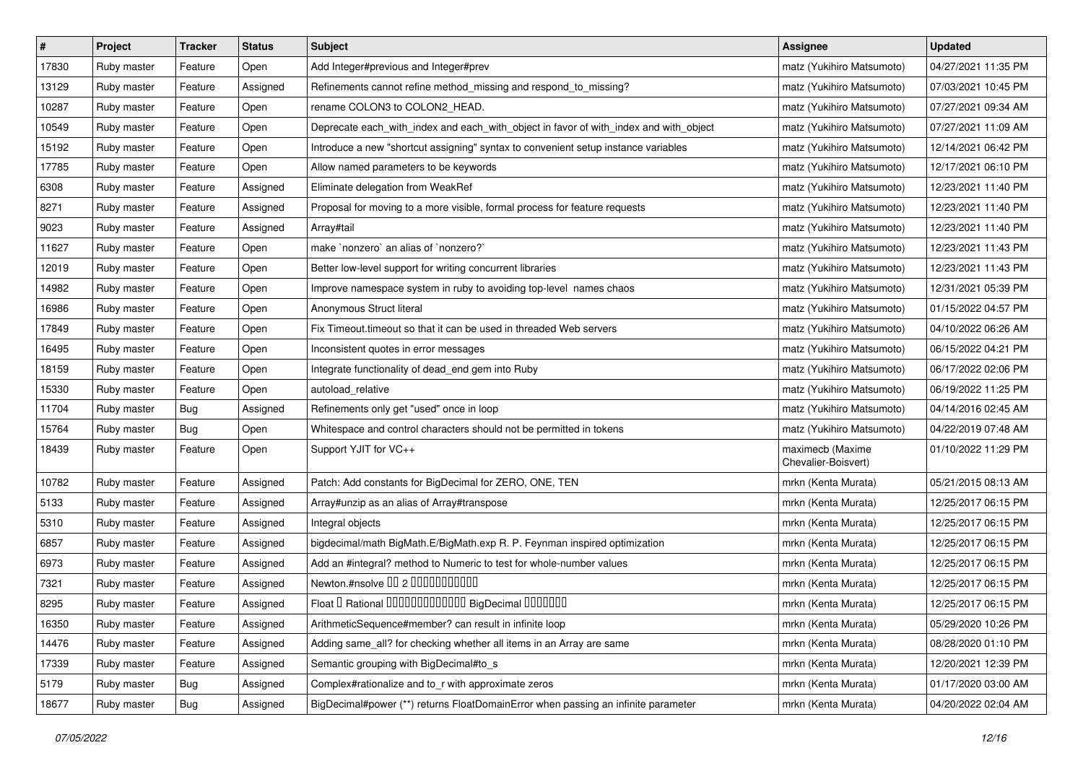| $\sharp$ | Project     | <b>Tracker</b> | <b>Status</b> | <b>Subject</b>                                                                        | <b>Assignee</b>                         | <b>Updated</b>      |
|----------|-------------|----------------|---------------|---------------------------------------------------------------------------------------|-----------------------------------------|---------------------|
| 17830    | Ruby master | Feature        | Open          | Add Integer#previous and Integer#prev                                                 | matz (Yukihiro Matsumoto)               | 04/27/2021 11:35 PM |
| 13129    | Ruby master | Feature        | Assigned      | Refinements cannot refine method_missing and respond_to_missing?                      | matz (Yukihiro Matsumoto)               | 07/03/2021 10:45 PM |
| 10287    | Ruby master | Feature        | Open          | rename COLON3 to COLON2_HEAD.                                                         | matz (Yukihiro Matsumoto)               | 07/27/2021 09:34 AM |
| 10549    | Ruby master | Feature        | Open          | Deprecate each_with_index and each_with_object in favor of with_index and with_object | matz (Yukihiro Matsumoto)               | 07/27/2021 11:09 AM |
| 15192    | Ruby master | Feature        | Open          | Introduce a new "shortcut assigning" syntax to convenient setup instance variables    | matz (Yukihiro Matsumoto)               | 12/14/2021 06:42 PM |
| 17785    | Ruby master | Feature        | Open          | Allow named parameters to be keywords                                                 | matz (Yukihiro Matsumoto)               | 12/17/2021 06:10 PM |
| 6308     | Ruby master | Feature        | Assigned      | Eliminate delegation from WeakRef                                                     | matz (Yukihiro Matsumoto)               | 12/23/2021 11:40 PM |
| 8271     | Ruby master | Feature        | Assigned      | Proposal for moving to a more visible, formal process for feature requests            | matz (Yukihiro Matsumoto)               | 12/23/2021 11:40 PM |
| 9023     | Ruby master | Feature        | Assigned      | Array#tail                                                                            | matz (Yukihiro Matsumoto)               | 12/23/2021 11:40 PM |
| 11627    | Ruby master | Feature        | Open          | make `nonzero` an alias of `nonzero?`                                                 | matz (Yukihiro Matsumoto)               | 12/23/2021 11:43 PM |
| 12019    | Ruby master | Feature        | Open          | Better low-level support for writing concurrent libraries                             | matz (Yukihiro Matsumoto)               | 12/23/2021 11:43 PM |
| 14982    | Ruby master | Feature        | Open          | Improve namespace system in ruby to avoiding top-level names chaos                    | matz (Yukihiro Matsumoto)               | 12/31/2021 05:39 PM |
| 16986    | Ruby master | Feature        | Open          | Anonymous Struct literal                                                              | matz (Yukihiro Matsumoto)               | 01/15/2022 04:57 PM |
| 17849    | Ruby master | Feature        | Open          | Fix Timeout timeout so that it can be used in threaded Web servers                    | matz (Yukihiro Matsumoto)               | 04/10/2022 06:26 AM |
| 16495    | Ruby master | Feature        | Open          | Inconsistent quotes in error messages                                                 | matz (Yukihiro Matsumoto)               | 06/15/2022 04:21 PM |
| 18159    | Ruby master | Feature        | Open          | Integrate functionality of dead_end gem into Ruby                                     | matz (Yukihiro Matsumoto)               | 06/17/2022 02:06 PM |
| 15330    | Ruby master | Feature        | Open          | autoload_relative                                                                     | matz (Yukihiro Matsumoto)               | 06/19/2022 11:25 PM |
| 11704    | Ruby master | Bug            | Assigned      | Refinements only get "used" once in loop                                              | matz (Yukihiro Matsumoto)               | 04/14/2016 02:45 AM |
| 15764    | Ruby master | Bug            | Open          | Whitespace and control characters should not be permitted in tokens                   | matz (Yukihiro Matsumoto)               | 04/22/2019 07:48 AM |
| 18439    | Ruby master | Feature        | Open          | Support YJIT for VC++                                                                 | maximecb (Maxime<br>Chevalier-Boisvert) | 01/10/2022 11:29 PM |
| 10782    | Ruby master | Feature        | Assigned      | Patch: Add constants for BigDecimal for ZERO, ONE, TEN                                | mrkn (Kenta Murata)                     | 05/21/2015 08:13 AM |
| 5133     | Ruby master | Feature        | Assigned      | Array#unzip as an alias of Array#transpose                                            | mrkn (Kenta Murata)                     | 12/25/2017 06:15 PM |
| 5310     | Ruby master | Feature        | Assigned      | Integral objects                                                                      | mrkn (Kenta Murata)                     | 12/25/2017 06:15 PM |
| 6857     | Ruby master | Feature        | Assigned      | bigdecimal/math BigMath.E/BigMath.exp R. P. Feynman inspired optimization             | mrkn (Kenta Murata)                     | 12/25/2017 06:15 PM |
| 6973     | Ruby master | Feature        | Assigned      | Add an #integral? method to Numeric to test for whole-number values                   | mrkn (Kenta Murata)                     | 12/25/2017 06:15 PM |
| 7321     | Ruby master | Feature        | Assigned      | Newton.#nsolve 00 2 0000000000                                                        | mrkn (Kenta Murata)                     | 12/25/2017 06:15 PM |
| 8295     | Ruby master | Feature        | Assigned      | Float I Rational IIIIIIIIIIIIIIIIIII BigDecimal IIIIIIIIII                            | mrkn (Kenta Murata)                     | 12/25/2017 06:15 PM |
| 16350    | Ruby master | Feature        | Assigned      | ArithmeticSequence#member? can result in infinite loop                                | mrkn (Kenta Murata)                     | 05/29/2020 10:26 PM |
| 14476    | Ruby master | Feature        | Assigned      | Adding same_all? for checking whether all items in an Array are same                  | mrkn (Kenta Murata)                     | 08/28/2020 01:10 PM |
| 17339    | Ruby master | Feature        | Assigned      | Semantic grouping with BigDecimal#to_s                                                | mrkn (Kenta Murata)                     | 12/20/2021 12:39 PM |
| 5179     | Ruby master | <b>Bug</b>     | Assigned      | Complex#rationalize and to_r with approximate zeros                                   | mrkn (Kenta Murata)                     | 01/17/2020 03:00 AM |
| 18677    | Ruby master | <b>Bug</b>     | Assigned      | BigDecimal#power (**) returns FloatDomainError when passing an infinite parameter     | mrkn (Kenta Murata)                     | 04/20/2022 02:04 AM |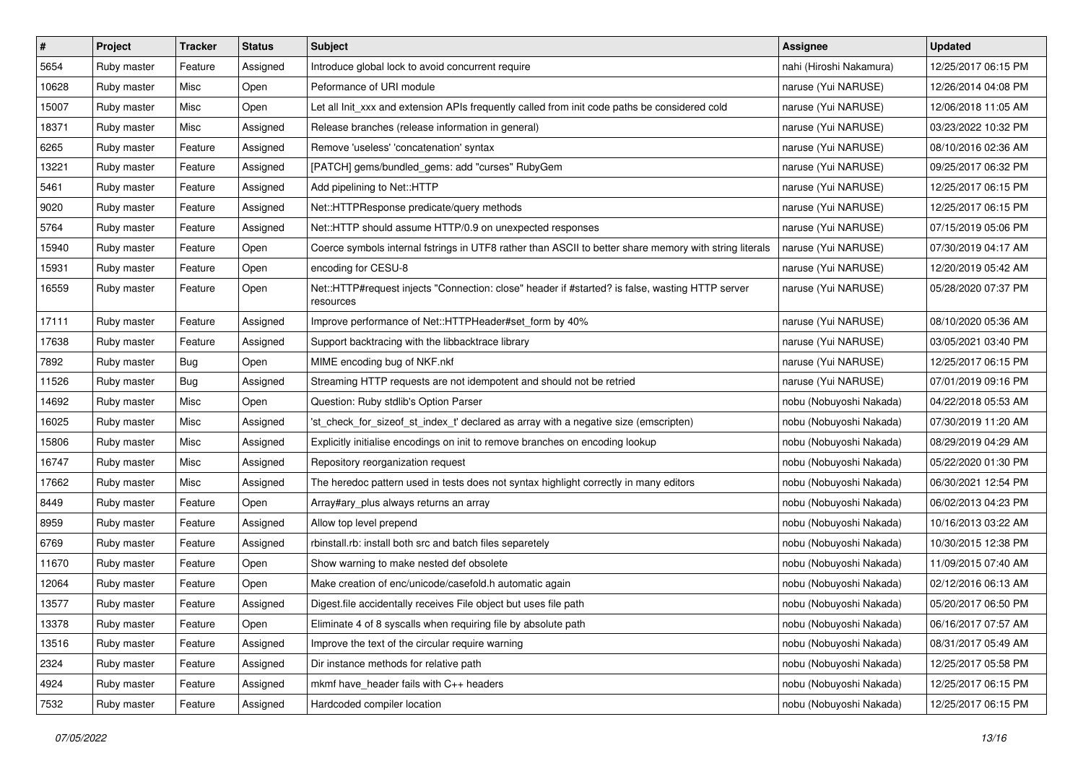| $\sharp$ | Project     | <b>Tracker</b> | <b>Status</b> | <b>Subject</b>                                                                                               | <b>Assignee</b>         | <b>Updated</b>      |
|----------|-------------|----------------|---------------|--------------------------------------------------------------------------------------------------------------|-------------------------|---------------------|
| 5654     | Ruby master | Feature        | Assigned      | Introduce global lock to avoid concurrent require                                                            | nahi (Hiroshi Nakamura) | 12/25/2017 06:15 PM |
| 10628    | Ruby master | Misc           | Open          | Peformance of URI module                                                                                     | naruse (Yui NARUSE)     | 12/26/2014 04:08 PM |
| 15007    | Ruby master | Misc           | Open          | Let all Init_xxx and extension APIs frequently called from init code paths be considered cold                | naruse (Yui NARUSE)     | 12/06/2018 11:05 AM |
| 18371    | Ruby master | Misc           | Assigned      | Release branches (release information in general)                                                            | naruse (Yui NARUSE)     | 03/23/2022 10:32 PM |
| 6265     | Ruby master | Feature        | Assigned      | Remove 'useless' 'concatenation' syntax                                                                      | naruse (Yui NARUSE)     | 08/10/2016 02:36 AM |
| 13221    | Ruby master | Feature        | Assigned      | [PATCH] gems/bundled_gems: add "curses" RubyGem                                                              | naruse (Yui NARUSE)     | 09/25/2017 06:32 PM |
| 5461     | Ruby master | Feature        | Assigned      | Add pipelining to Net::HTTP                                                                                  | naruse (Yui NARUSE)     | 12/25/2017 06:15 PM |
| 9020     | Ruby master | Feature        | Assigned      | Net::HTTPResponse predicate/query methods                                                                    | naruse (Yui NARUSE)     | 12/25/2017 06:15 PM |
| 5764     | Ruby master | Feature        | Assigned      | Net::HTTP should assume HTTP/0.9 on unexpected responses                                                     | naruse (Yui NARUSE)     | 07/15/2019 05:06 PM |
| 15940    | Ruby master | Feature        | Open          | Coerce symbols internal fstrings in UTF8 rather than ASCII to better share memory with string literals       | naruse (Yui NARUSE)     | 07/30/2019 04:17 AM |
| 15931    | Ruby master | Feature        | Open          | encoding for CESU-8                                                                                          | naruse (Yui NARUSE)     | 12/20/2019 05:42 AM |
| 16559    | Ruby master | Feature        | Open          | Net::HTTP#request injects "Connection: close" header if #started? is false, wasting HTTP server<br>resources | naruse (Yui NARUSE)     | 05/28/2020 07:37 PM |
| 17111    | Ruby master | Feature        | Assigned      | Improve performance of Net::HTTPHeader#set_form by 40%                                                       | naruse (Yui NARUSE)     | 08/10/2020 05:36 AM |
| 17638    | Ruby master | Feature        | Assigned      | Support backtracing with the libbacktrace library                                                            | naruse (Yui NARUSE)     | 03/05/2021 03:40 PM |
| 7892     | Ruby master | Bug            | Open          | MIME encoding bug of NKF.nkf                                                                                 | naruse (Yui NARUSE)     | 12/25/2017 06:15 PM |
| 11526    | Ruby master | Bug            | Assigned      | Streaming HTTP requests are not idempotent and should not be retried                                         | naruse (Yui NARUSE)     | 07/01/2019 09:16 PM |
| 14692    | Ruby master | Misc           | Open          | Question: Ruby stdlib's Option Parser                                                                        | nobu (Nobuyoshi Nakada) | 04/22/2018 05:53 AM |
| 16025    | Ruby master | Misc           | Assigned      | 'st_check_for_sizeof_st_index_t' declared as array with a negative size (emscripten)                         | nobu (Nobuyoshi Nakada) | 07/30/2019 11:20 AM |
| 15806    | Ruby master | Misc           | Assigned      | Explicitly initialise encodings on init to remove branches on encoding lookup                                | nobu (Nobuyoshi Nakada) | 08/29/2019 04:29 AM |
| 16747    | Ruby master | Misc           | Assigned      | Repository reorganization request                                                                            | nobu (Nobuyoshi Nakada) | 05/22/2020 01:30 PM |
| 17662    | Ruby master | Misc           | Assigned      | The heredoc pattern used in tests does not syntax highlight correctly in many editors                        | nobu (Nobuyoshi Nakada) | 06/30/2021 12:54 PM |
| 8449     | Ruby master | Feature        | Open          | Array#ary_plus always returns an array                                                                       | nobu (Nobuyoshi Nakada) | 06/02/2013 04:23 PM |
| 8959     | Ruby master | Feature        | Assigned      | Allow top level prepend                                                                                      | nobu (Nobuyoshi Nakada) | 10/16/2013 03:22 AM |
| 6769     | Ruby master | Feature        | Assigned      | rbinstall.rb: install both src and batch files separetely                                                    | nobu (Nobuyoshi Nakada) | 10/30/2015 12:38 PM |
| 11670    | Ruby master | Feature        | Open          | Show warning to make nested def obsolete                                                                     | nobu (Nobuyoshi Nakada) | 11/09/2015 07:40 AM |
| 12064    | Ruby master | Feature        | Open          | Make creation of enc/unicode/casefold.h automatic again                                                      | nobu (Nobuyoshi Nakada) | 02/12/2016 06:13 AM |
| 13577    | Ruby master | Feature        | Assigned      | Digest file accidentally receives File object but uses file path                                             | nobu (Nobuyoshi Nakada) | 05/20/2017 06:50 PM |
| 13378    | Ruby master | Feature        | Open          | Eliminate 4 of 8 syscalls when requiring file by absolute path                                               | nobu (Nobuyoshi Nakada) | 06/16/2017 07:57 AM |
| 13516    | Ruby master | Feature        | Assigned      | Improve the text of the circular require warning                                                             | nobu (Nobuyoshi Nakada) | 08/31/2017 05:49 AM |
| 2324     | Ruby master | Feature        | Assigned      | Dir instance methods for relative path                                                                       | nobu (Nobuyoshi Nakada) | 12/25/2017 05:58 PM |
| 4924     | Ruby master | Feature        | Assigned      | mkmf have_header fails with C++ headers                                                                      | nobu (Nobuyoshi Nakada) | 12/25/2017 06:15 PM |
| 7532     | Ruby master | Feature        | Assigned      | Hardcoded compiler location                                                                                  | nobu (Nobuyoshi Nakada) | 12/25/2017 06:15 PM |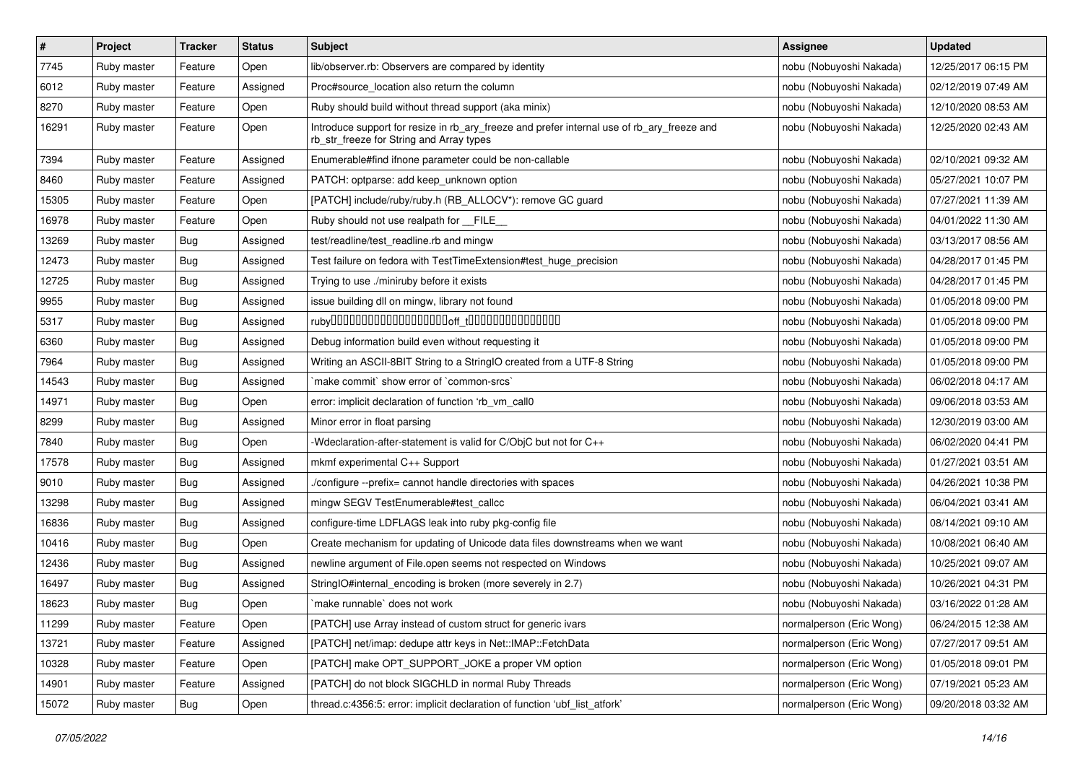| #     | Project     | <b>Tracker</b> | <b>Status</b> | Subject                                                                                                                                | Assignee                 | <b>Updated</b>      |
|-------|-------------|----------------|---------------|----------------------------------------------------------------------------------------------------------------------------------------|--------------------------|---------------------|
| 7745  | Ruby master | Feature        | Open          | lib/observer.rb: Observers are compared by identity                                                                                    | nobu (Nobuyoshi Nakada)  | 12/25/2017 06:15 PM |
| 6012  | Ruby master | Feature        | Assigned      | Proc#source location also return the column                                                                                            | nobu (Nobuyoshi Nakada)  | 02/12/2019 07:49 AM |
| 8270  | Ruby master | Feature        | Open          | Ruby should build without thread support (aka minix)                                                                                   | nobu (Nobuyoshi Nakada)  | 12/10/2020 08:53 AM |
| 16291 | Ruby master | Feature        | Open          | Introduce support for resize in rb_ary_freeze and prefer internal use of rb_ary_freeze and<br>rb_str_freeze for String and Array types | nobu (Nobuyoshi Nakada)  | 12/25/2020 02:43 AM |
| 7394  | Ruby master | Feature        | Assigned      | Enumerable#find ifnone parameter could be non-callable                                                                                 | nobu (Nobuyoshi Nakada)  | 02/10/2021 09:32 AM |
| 8460  | Ruby master | Feature        | Assigned      | PATCH: optparse: add keep_unknown option                                                                                               | nobu (Nobuyoshi Nakada)  | 05/27/2021 10:07 PM |
| 15305 | Ruby master | Feature        | Open          | [PATCH] include/ruby/ruby.h (RB ALLOCV*): remove GC guard                                                                              | nobu (Nobuyoshi Nakada)  | 07/27/2021 11:39 AM |
| 16978 | Ruby master | Feature        | Open          | Ruby should not use realpath for FILE                                                                                                  | nobu (Nobuyoshi Nakada)  | 04/01/2022 11:30 AM |
| 13269 | Ruby master | Bug            | Assigned      | test/readline/test_readline.rb and mingw                                                                                               | nobu (Nobuyoshi Nakada)  | 03/13/2017 08:56 AM |
| 12473 | Ruby master | Bug            | Assigned      | Test failure on fedora with TestTimeExtension#test_huge_precision                                                                      | nobu (Nobuyoshi Nakada)  | 04/28/2017 01:45 PM |
| 12725 | Ruby master | Bug            | Assigned      | Trying to use ./miniruby before it exists                                                                                              | nobu (Nobuyoshi Nakada)  | 04/28/2017 01:45 PM |
| 9955  | Ruby master | Bug            | Assigned      | issue building dll on mingw, library not found                                                                                         | nobu (Nobuyoshi Nakada)  | 01/05/2018 09:00 PM |
| 5317  | Ruby master | Bug            | Assigned      |                                                                                                                                        | nobu (Nobuyoshi Nakada)  | 01/05/2018 09:00 PM |
| 6360  | Ruby master | Bug            | Assigned      | Debug information build even without requesting it                                                                                     | nobu (Nobuyoshi Nakada)  | 01/05/2018 09:00 PM |
| 7964  | Ruby master | Bug            | Assigned      | Writing an ASCII-8BIT String to a StringIO created from a UTF-8 String                                                                 | nobu (Nobuyoshi Nakada)  | 01/05/2018 09:00 PM |
| 14543 | Ruby master | Bug            | Assigned      | `make commit` show error of `common-srcs`                                                                                              | nobu (Nobuyoshi Nakada)  | 06/02/2018 04:17 AM |
| 14971 | Ruby master | Bug            | Open          | error: implicit declaration of function 'rb_vm_call0                                                                                   | nobu (Nobuyoshi Nakada)  | 09/06/2018 03:53 AM |
| 8299  | Ruby master | Bug            | Assigned      | Minor error in float parsing                                                                                                           | nobu (Nobuyoshi Nakada)  | 12/30/2019 03:00 AM |
| 7840  | Ruby master | Bug            | Open          | -Wdeclaration-after-statement is valid for C/ObjC but not for C++                                                                      | nobu (Nobuyoshi Nakada)  | 06/02/2020 04:41 PM |
| 17578 | Ruby master | Bug            | Assigned      | mkmf experimental C++ Support                                                                                                          | nobu (Nobuyoshi Nakada)  | 01/27/2021 03:51 AM |
| 9010  | Ruby master | Bug            | Assigned      | /configure --prefix= cannot handle directories with spaces                                                                             | nobu (Nobuyoshi Nakada)  | 04/26/2021 10:38 PM |
| 13298 | Ruby master | <b>Bug</b>     | Assigned      | mingw SEGV TestEnumerable#test_callcc                                                                                                  | nobu (Nobuyoshi Nakada)  | 06/04/2021 03:41 AM |
| 16836 | Ruby master | Bug            | Assigned      | configure-time LDFLAGS leak into ruby pkg-config file                                                                                  | nobu (Nobuyoshi Nakada)  | 08/14/2021 09:10 AM |
| 10416 | Ruby master | Bug            | Open          | Create mechanism for updating of Unicode data files downstreams when we want                                                           | nobu (Nobuyoshi Nakada)  | 10/08/2021 06:40 AM |
| 12436 | Ruby master | Bug            | Assigned      | newline argument of File.open seems not respected on Windows                                                                           | nobu (Nobuyoshi Nakada)  | 10/25/2021 09:07 AM |
| 16497 | Ruby master | <b>Bug</b>     | Assigned      | StringIO#internal_encoding is broken (more severely in 2.7)                                                                            | nobu (Nobuyoshi Nakada)  | 10/26/2021 04:31 PM |
| 18623 | Ruby master | <b>Bug</b>     | Open          | `make runnable` does not work                                                                                                          | nobu (Nobuyoshi Nakada)  | 03/16/2022 01:28 AM |
| 11299 | Ruby master | Feature        | Open          | [PATCH] use Array instead of custom struct for generic ivars                                                                           | normalperson (Eric Wong) | 06/24/2015 12:38 AM |
| 13721 | Ruby master | Feature        | Assigned      | [PATCH] net/imap: dedupe attr keys in Net::IMAP::FetchData                                                                             | normalperson (Eric Wong) | 07/27/2017 09:51 AM |
| 10328 | Ruby master | Feature        | Open          | [PATCH] make OPT_SUPPORT_JOKE a proper VM option                                                                                       | normalperson (Eric Wong) | 01/05/2018 09:01 PM |
| 14901 | Ruby master | Feature        | Assigned      | [PATCH] do not block SIGCHLD in normal Ruby Threads                                                                                    | normalperson (Eric Wong) | 07/19/2021 05:23 AM |
| 15072 | Ruby master | <b>Bug</b>     | Open          | thread.c:4356:5: error: implicit declaration of function 'ubf_list_atfork'                                                             | normalperson (Eric Wong) | 09/20/2018 03:32 AM |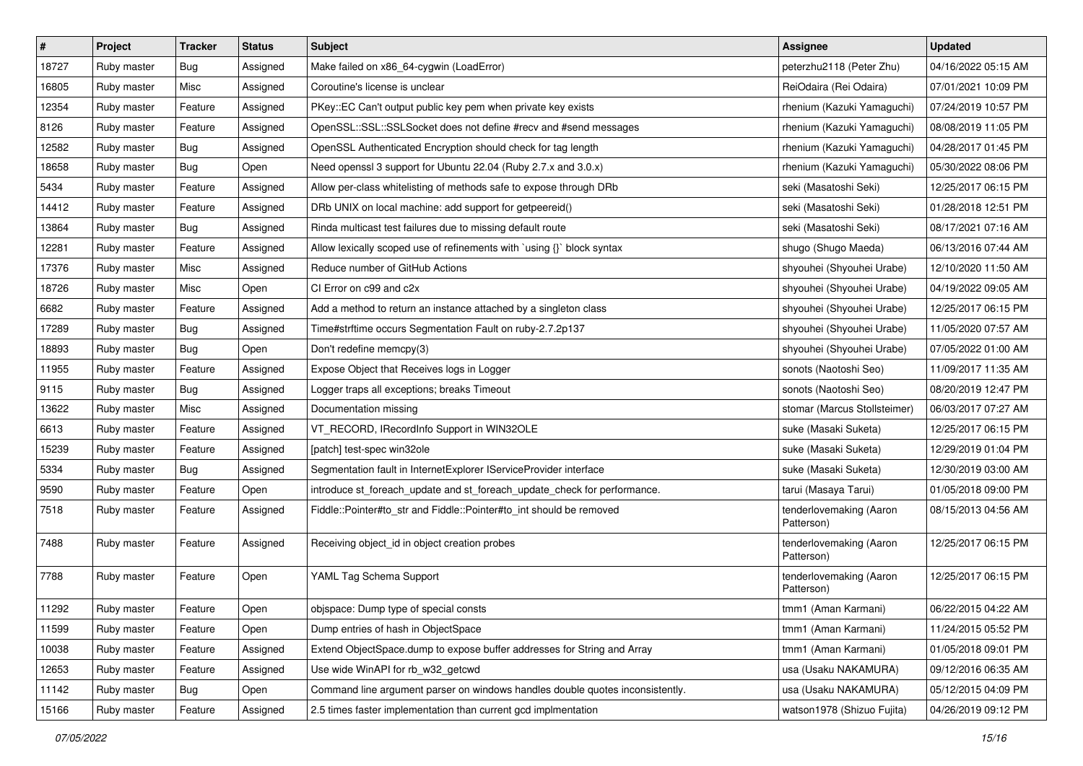| $\vert$ # | Project     | Tracker    | <b>Status</b> | <b>Subject</b>                                                                | <b>Assignee</b>                       | <b>Updated</b>      |
|-----------|-------------|------------|---------------|-------------------------------------------------------------------------------|---------------------------------------|---------------------|
| 18727     | Ruby master | Bug        | Assigned      | Make failed on x86_64-cygwin (LoadError)                                      | peterzhu2118 (Peter Zhu)              | 04/16/2022 05:15 AM |
| 16805     | Ruby master | Misc       | Assigned      | Coroutine's license is unclear                                                | ReiOdaira (Rei Odaira)                | 07/01/2021 10:09 PM |
| 12354     | Ruby master | Feature    | Assigned      | PKey::EC Can't output public key pem when private key exists                  | rhenium (Kazuki Yamaguchi)            | 07/24/2019 10:57 PM |
| 8126      | Ruby master | Feature    | Assigned      | OpenSSL::SSL::SSLSocket does not define #recv and #send messages              | rhenium (Kazuki Yamaguchi)            | 08/08/2019 11:05 PM |
| 12582     | Ruby master | <b>Bug</b> | Assigned      | OpenSSL Authenticated Encryption should check for tag length                  | rhenium (Kazuki Yamaguchi)            | 04/28/2017 01:45 PM |
| 18658     | Ruby master | Bug        | Open          | Need openssl 3 support for Ubuntu 22.04 (Ruby 2.7.x and 3.0.x)                | rhenium (Kazuki Yamaguchi)            | 05/30/2022 08:06 PM |
| 5434      | Ruby master | Feature    | Assigned      | Allow per-class whitelisting of methods safe to expose through DRb            | seki (Masatoshi Seki)                 | 12/25/2017 06:15 PM |
| 14412     | Ruby master | Feature    | Assigned      | DRb UNIX on local machine: add support for getpeereid()                       | seki (Masatoshi Seki)                 | 01/28/2018 12:51 PM |
| 13864     | Ruby master | Bug        | Assigned      | Rinda multicast test failures due to missing default route                    | seki (Masatoshi Seki)                 | 08/17/2021 07:16 AM |
| 12281     | Ruby master | Feature    | Assigned      | Allow lexically scoped use of refinements with `using {}` block syntax        | shugo (Shugo Maeda)                   | 06/13/2016 07:44 AM |
| 17376     | Ruby master | Misc       | Assigned      | Reduce number of GitHub Actions                                               | shyouhei (Shyouhei Urabe)             | 12/10/2020 11:50 AM |
| 18726     | Ruby master | Misc       | Open          | CI Error on c99 and c2x                                                       | shyouhei (Shyouhei Urabe)             | 04/19/2022 09:05 AM |
| 6682      | Ruby master | Feature    | Assigned      | Add a method to return an instance attached by a singleton class              | shyouhei (Shyouhei Urabe)             | 12/25/2017 06:15 PM |
| 17289     | Ruby master | Bug        | Assigned      | Time#strftime occurs Segmentation Fault on ruby-2.7.2p137                     | shyouhei (Shyouhei Urabe)             | 11/05/2020 07:57 AM |
| 18893     | Ruby master | Bug        | Open          | Don't redefine memcpy(3)                                                      | shyouhei (Shyouhei Urabe)             | 07/05/2022 01:00 AM |
| 11955     | Ruby master | Feature    | Assigned      | Expose Object that Receives logs in Logger                                    | sonots (Naotoshi Seo)                 | 11/09/2017 11:35 AM |
| 9115      | Ruby master | Bug        | Assigned      | Logger traps all exceptions; breaks Timeout                                   | sonots (Naotoshi Seo)                 | 08/20/2019 12:47 PM |
| 13622     | Ruby master | Misc       | Assigned      | Documentation missing                                                         | stomar (Marcus Stollsteimer)          | 06/03/2017 07:27 AM |
| 6613      | Ruby master | Feature    | Assigned      | VT_RECORD, IRecordInfo Support in WIN32OLE                                    | suke (Masaki Suketa)                  | 12/25/2017 06:15 PM |
| 15239     | Ruby master | Feature    | Assigned      | [patch] test-spec win32ole                                                    | suke (Masaki Suketa)                  | 12/29/2019 01:04 PM |
| 5334      | Ruby master | Bug        | Assigned      | Segmentation fault in InternetExplorer IServiceProvider interface             | suke (Masaki Suketa)                  | 12/30/2019 03:00 AM |
| 9590      | Ruby master | Feature    | Open          | introduce st_foreach_update and st_foreach_update_check for performance.      | tarui (Masaya Tarui)                  | 01/05/2018 09:00 PM |
| 7518      | Ruby master | Feature    | Assigned      | Fiddle::Pointer#to_str and Fiddle::Pointer#to_int should be removed           | tenderlovemaking (Aaron<br>Patterson) | 08/15/2013 04:56 AM |
| 7488      | Ruby master | Feature    | Assigned      | Receiving object_id in object creation probes                                 | tenderlovemaking (Aaron<br>Patterson) | 12/25/2017 06:15 PM |
| 7788      | Ruby master | Feature    | Open          | YAML Tag Schema Support                                                       | tenderlovemaking (Aaron<br>Patterson) | 12/25/2017 06:15 PM |
| 11292     | Ruby master | Feature    | Open          | objspace: Dump type of special consts                                         | tmm1 (Aman Karmani)                   | 06/22/2015 04:22 AM |
| 11599     | Ruby master | Feature    | Open          | Dump entries of hash in ObjectSpace                                           | tmm1 (Aman Karmani)                   | 11/24/2015 05:52 PM |
| 10038     | Ruby master | Feature    | Assigned      | Extend ObjectSpace.dump to expose buffer addresses for String and Array       | tmm1 (Aman Karmani)                   | 01/05/2018 09:01 PM |
| 12653     | Ruby master | Feature    | Assigned      | Use wide WinAPI for rb_w32_getcwd                                             | usa (Usaku NAKAMURA)                  | 09/12/2016 06:35 AM |
| 11142     | Ruby master | Bug        | Open          | Command line argument parser on windows handles double quotes inconsistently. | usa (Usaku NAKAMURA)                  | 05/12/2015 04:09 PM |
| 15166     | Ruby master | Feature    | Assigned      | 2.5 times faster implementation than current gcd implmentation                | watson1978 (Shizuo Fujita)            | 04/26/2019 09:12 PM |